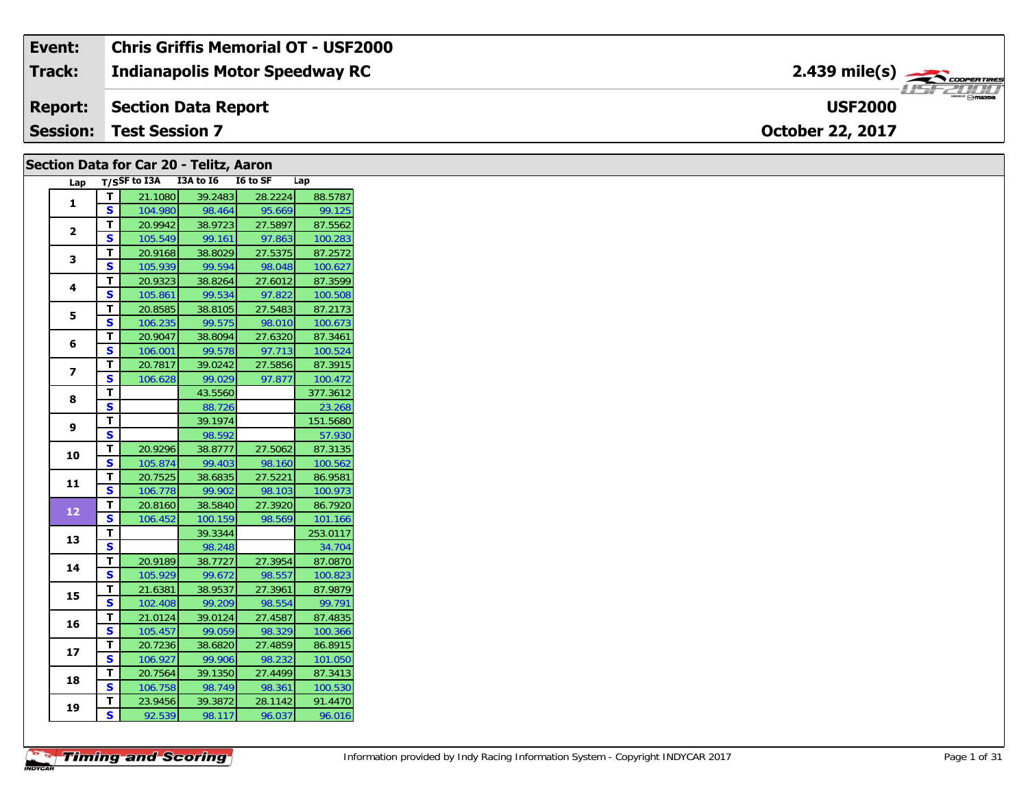| Event:          | <b>Chris Griffis Memorial OT - USF2000</b> |                                          |
|-----------------|--------------------------------------------|------------------------------------------|
| Track:          | <b>Indianapolis Motor Speedway RC</b>      | $2.439$ mile(s) $\rightarrow$ coorewines |
| <b>Report:</b>  | Section Data Report                        | $m$ $m$ $n$ $n$<br><b>USF2000</b>        |
| <b>Session:</b> | <b>Test Session 7</b>                      | <b>October 22, 2017</b>                  |

## **Section Data for Car 20 - Telitz, Aaron**

| Lap            | $T/S$ SF to I3A         |         | I3A to I6 | I6 to SF | Lap      |
|----------------|-------------------------|---------|-----------|----------|----------|
| $\mathbf{1}$   | т                       | 21.1080 | 39.2483   | 28.2224  | 88.5787  |
|                | Ś                       | 104.980 | 98.464    | 95.669   | 99.125   |
| $\overline{2}$ | T.                      | 20.9942 | 38.9723   | 27.5897  | 87.5562  |
|                | S                       | 105.549 | 99.161    | 97.863   | 100.283  |
| 3              | т                       | 20.9168 | 38.8029   | 27.5375  | 87.2572  |
|                | S                       | 105.939 | 99.594    | 98.048   | 100.627  |
| 4              | т                       | 20.9323 | 38.8264   | 27.6012  | 87.3599  |
|                | S                       | 105.861 | 99.534    | 97.822   | 100.508  |
| 5              | T                       | 20.8585 | 38.8105   | 27.5483  | 87.2173  |
|                | S                       | 106.235 | 99.575    | 98.010   | 100.673  |
| 6              | T                       | 20.9047 | 38.8094   | 27.6320  | 87.3461  |
|                | Ś                       | 106.001 | 99.578    | 97.713   | 100.524  |
| 7              | т                       | 20.7817 | 39.0242   | 27.5856  | 87.3915  |
|                | S                       | 106.628 | 99.029    | 97.877   | 100.472  |
| 8              | т                       |         | 43.5560   |          | 377.3612 |
|                | S                       |         | 88.726    |          | 23.268   |
| 9              | т                       |         | 39.1974   |          | 151.5680 |
|                | S                       |         | 98.592    |          | 57.930   |
| 10             | T.                      | 20.9296 | 38.8777   | 27.5062  | 87.3135  |
|                | S                       | 105.874 | 99.403    | 98.160   | 100.562  |
| 11             | т                       | 20.7525 | 38.6835   | 27.5221  | 86.9581  |
|                | S                       | 106.778 | 99.902    | 98.103   | 100.973  |
| 12             | T                       | 20.8160 | 38.5840   | 27.3920  | 86.7920  |
|                | S                       | 106.452 | 100.159   | 98.569   | 101.166  |
| 13             | т                       |         | 39.3344   |          | 253.0117 |
|                | S                       |         | 98.248    |          | 34.704   |
| 14             | т                       | 20.9189 | 38.7727   | 27.3954  | 87.0870  |
|                | S                       | 105.929 | 99.672    | 98.557   | 100.823  |
| 15             | T                       | 21.6381 | 38.9537   | 27.3961  | 87.9879  |
|                | $\overline{\mathbf{s}}$ | 102.408 | 99.209    | 98.554   | 99.791   |
| 16             | T                       | 21.0124 | 39.0124   | 27.4587  | 87.4835  |
|                | S                       | 105.457 | 99.059    | 98.329   | 100.366  |
| 17             | т                       | 20.7236 | 38.6820   | 27.4859  | 86.8915  |
|                | S                       | 106.927 | 99.906    | 98.232   | 101.050  |
| 18             | T                       | 20.7564 | 39.1350   | 27.4499  | 87.3413  |
|                | S                       | 106.758 | 98.749    | 98.361   | 100.530  |
| 19             | T                       | 23.9456 | 39.3872   | 28.1142  | 91.4470  |
|                | 5                       | 92.539  | 98.117    | 96.037   | 96.016   |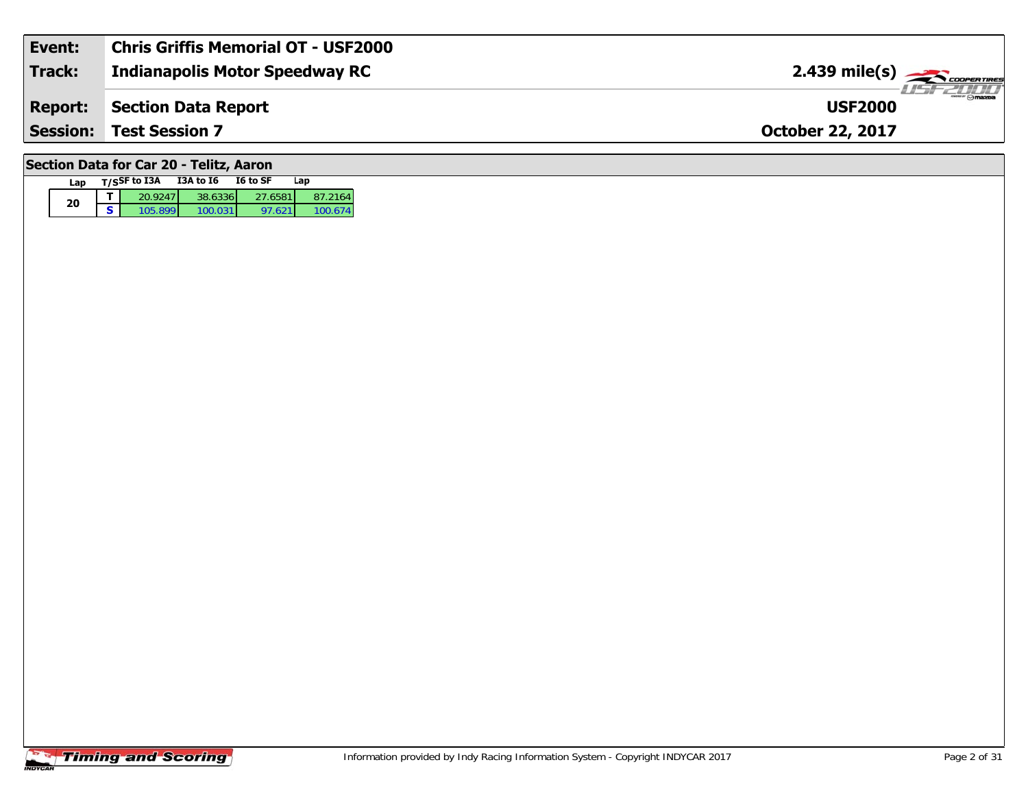| Event:                                  | <b>Chris Griffis Memorial OT - USF2000</b> |                               |  |  |  |  |
|-----------------------------------------|--------------------------------------------|-------------------------------|--|--|--|--|
| <b>Track:</b>                           | <b>Indianapolis Motor Speedway RC</b>      |                               |  |  |  |  |
| <b>Report:</b>                          | Section Data Report                        | $ZL$ omazoa<br><b>USF2000</b> |  |  |  |  |
| <b>Session:</b>                         | <b>Test Session 7</b>                      | <b>October 22, 2017</b>       |  |  |  |  |
| Section Data for Car 20 - Telitz, Aaron |                                            |                               |  |  |  |  |

### **Timing and Scoring**

**Lap T/SSF to I3A I3A to I6 I6 to SF Lap** 

**d T** 20.9247 38.6336 27.6581 87.2164<br>**S** 105.899 100.031 97.621 100.674

100.674

**20**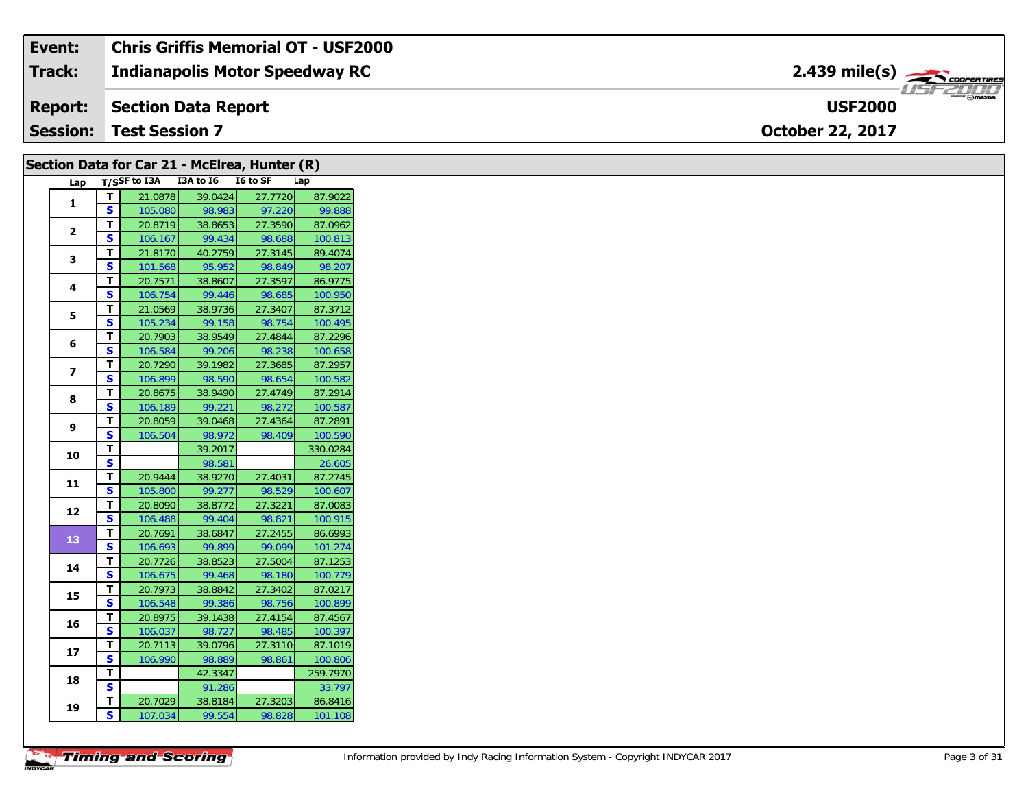| Event:          | Chris Griffis Memorial OT - USF2000   |                                           |
|-----------------|---------------------------------------|-------------------------------------------|
| <b>Track:</b>   | <b>Indianapolis Motor Speedway RC</b> | $2.439$ mile(s) $\rightarrow$ COOPER TIRE |
| <b>Report:</b>  | Section Data Report                   | <b>USE 2000</b><br><b>USF2000</b>         |
| <b>Session:</b> | <b>Test Session 7</b>                 | <b>October 22, 2017</b>                   |

|                |                         |                                     |         | Section Data for Car 21 - McElrea, Hunter (R) |          |
|----------------|-------------------------|-------------------------------------|---------|-----------------------------------------------|----------|
|                |                         | Lap T/SSF to I3A I3A to I6 I6 to SF |         |                                               | Lap      |
| $\mathbf{1}$   | T                       | 21.0878                             | 39.0424 | 27.7720                                       | 87.9022  |
|                | S                       | 105.080                             | 98.983  | 97.220                                        | 99.888   |
| $\mathbf{2}$   | T                       | 20.8719                             | 38.8653 | 27.3590                                       | 87.0962  |
|                | S                       | 106.167                             | 99.434  | 98.688                                        | 100.813  |
| 3              | Т                       | 21.8170                             | 40.2759 | 27.3145                                       | 89.4074  |
|                | S                       | 101.568                             | 95.952  | 98.849                                        | 98.207   |
| 4              | T                       | 20.7571                             | 38.8607 | 27.3597                                       | 86.9775  |
|                | S                       | 106.754                             | 99.446  | 98.685                                        | 100.950  |
| 5              | T                       | 21.0569                             | 38.9736 | 27.3407                                       | 87.3712  |
|                | <b>S</b>                | 105.234                             | 99.158  | 98.754                                        | 100.495  |
| 6              | Т                       | 20.7903                             | 38.9549 | 27.4844                                       | 87.2296  |
|                | $\mathbf{s}$            | 106.584                             | 99.206  | 98.238                                        | 100.658  |
| $\overline{ }$ | T                       | 20.7290                             | 39.1982 | 27.3685                                       | 87.2957  |
|                | S                       | 106.899                             | 98.590  | 98.654                                        | 100.582  |
| 8              | $\mathbf{T}$            | 20.8675                             | 38.9490 | 27.4749                                       | 87.2914  |
|                | <b>S</b>                | 106.189                             | 99.221  | 98.272                                        | 100.587  |
| 9              | т                       | 20.8059                             | 39.0468 | 27.4364                                       | 87.2891  |
|                | $\mathbf{s}$            | 106.504                             | 98.972  | 98.409                                        | 100.590  |
| 10             | T                       |                                     | 39.2017 |                                               | 330.0284 |
|                | $\overline{\mathbf{s}}$ |                                     | 98.581  |                                               | 26.605   |
| 11             | $\mathbf T$             | 20.9444                             | 38.9270 | 27.4031                                       | 87.2745  |
|                | S                       | 105.800                             | 99.277  | 98.529                                        | 100.607  |
| 12             | Т                       | 20.8090                             | 38.8772 | 27.3221                                       | 87.0083  |
|                | S                       | 106.488                             | 99.404  | 98.821                                        | 100.915  |
| 13             | T                       | 20.7691                             | 38.6847 | 27.2455                                       | 86.6993  |
|                | <b>S</b>                | 106.693                             | 99.899  | 99.099                                        | 101.274  |
| 14             | T                       | 20.7726                             | 38.8523 | 27.5004                                       | 87.1253  |
|                | S                       | 106.675                             | 99.468  | 98.180                                        | 100.779  |
| 15             | Т                       | 20.7973                             | 38.8842 | 27.3402                                       | 87.0217  |
|                | S                       | 106.548                             | 99.386  | 98.756                                        | 100.899  |
| 16             | Т                       | 20.8975                             | 39.1438 | 27.4154                                       | 87.4567  |
|                | $\mathbf{s}$            | 106.037                             | 98.727  | 98.485                                        | 100.397  |
| 17             | Т                       | 20.7113                             | 39.0796 | 27.3110                                       | 87.1019  |
|                | $\mathbf{s}$            | 106.990                             | 98.889  | 98.861                                        | 100.806  |
| 18             | T                       |                                     | 42.3347 |                                               | 259.7970 |
|                | $\overline{\mathbf{s}}$ |                                     | 91.286  |                                               | 33.797   |
| 19             | т                       | 20.7029                             | 38.8184 | 27.3203                                       | 86.8416  |
|                | S                       | 107.034                             | 99.554  | 98.828                                        | 101.108  |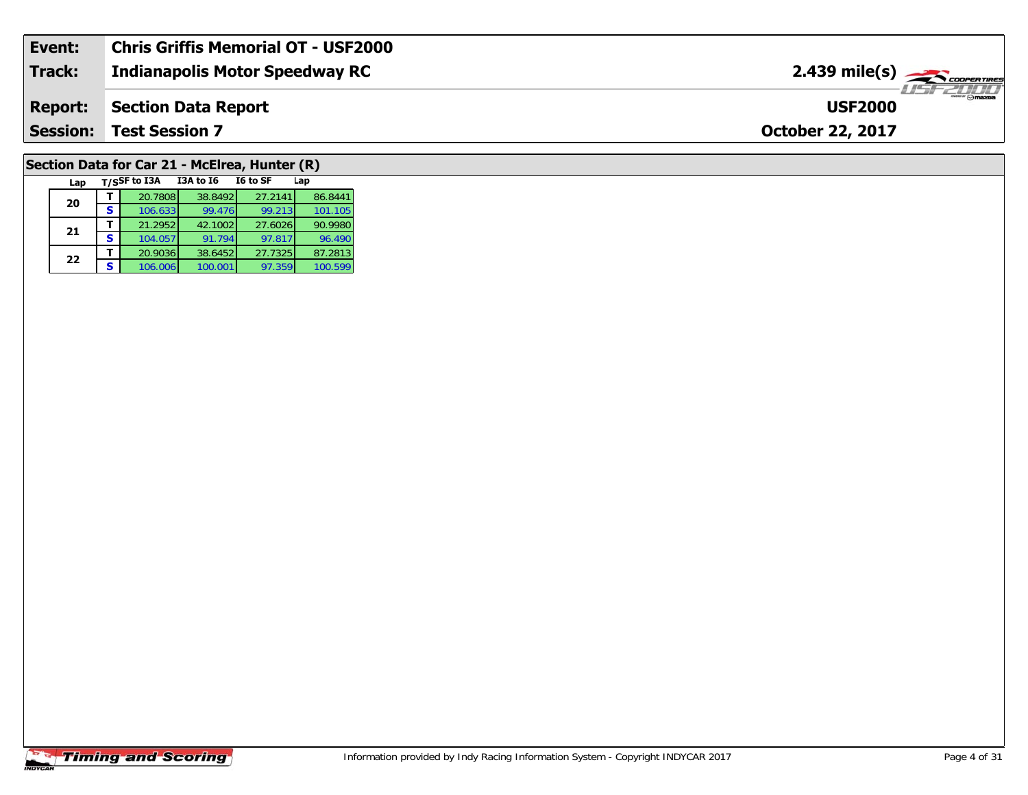| Event:          | Chris Griffis Memorial OT - USF2000 |                                                      |
|-----------------|-------------------------------------|------------------------------------------------------|
| <b>Track:</b>   | Indianapolis Motor Speedway RC      | $2.439$ mile(s) $\overbrace{\hspace{2cm}}$ coorering |
| <b>Report:</b>  | Section Data Report                 | $\sqrt{m}$ azpa<br><b>USF2000</b>                    |
| <b>Session:</b> | <b>Test Session 7</b>               | <b>October 22, 2017</b>                              |
|                 |                                     |                                                      |

# **Section Data for Car 21 - McElrea, Hunter (R)**

| Lap |   | T/SSF to I3A | <b>I3A to 16</b> | I6 to SF | Lap     |
|-----|---|--------------|------------------|----------|---------|
| 20  |   | 20.7808      | 38.8492          | 27.2141  | 86.8441 |
|     | s | 106.633      | 99.476           | 99.213   | 101.105 |
| 21  |   | 21.2952      | 42.1002          | 27.6026  | 90.9980 |
|     | s | 104.057      | 91.794           | 97.817   | 96.490  |
| 22  |   | 20.9036      | 38.6452          | 27.7325  | 87.2813 |
|     | s | 106.006      | 100.001          | 97.359   | 100.599 |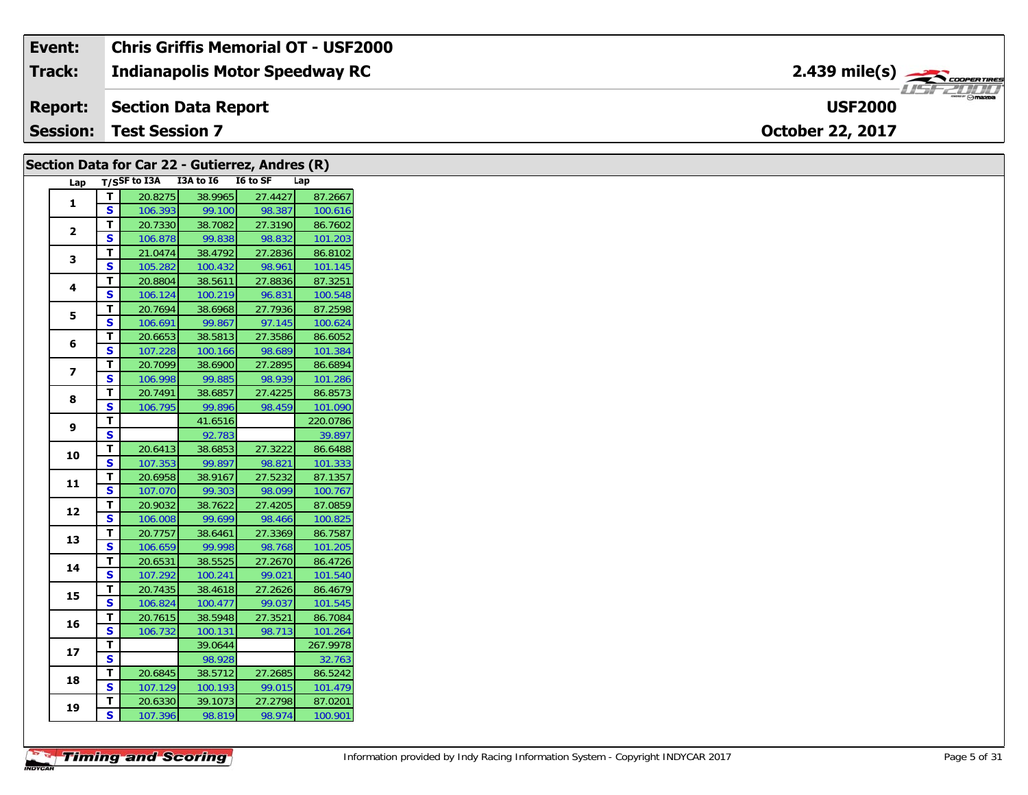| Event:          | <b>Chris Griffis Memorial OT - USF2000</b> |                                                                 |  |
|-----------------|--------------------------------------------|-----------------------------------------------------------------|--|
| Track:          | <b>Indianapolis Motor Speedway RC</b>      | $2.439$ mile(s) $\overbrace{\hspace{2.5cm}}^{3.28}$ coorentment |  |
| Report:         | Section Data Report                        | <b>USF2000</b>                                                  |  |
| $\mid$ Session: | <b>Test Session 7</b>                      | <b>October 22, 2017</b>                                         |  |

|                |                         | Section Data for Car 22 - Gutierrez, Andres (R) |         |         |          |
|----------------|-------------------------|-------------------------------------------------|---------|---------|----------|
| Lap            |                         | T/SSF to I3A I3A to I6 I6 to SF                 |         |         | Lap      |
| 1              | $\mathbf T$             | 20.8275                                         | 38.9965 | 27.4427 | 87.2667  |
|                | S                       | 106.393                                         | 99.100  | 98.387  | 100.616  |
| $\overline{2}$ | T                       | 20.7330                                         | 38.7082 | 27.3190 | 86.7602  |
|                | S                       | 106.878                                         | 99.838  | 98.832  | 101.203  |
| 3              | $\mathbf{T}$            | 21.0474                                         | 38.4792 | 27.2836 | 86.8102  |
|                | S                       | 105.282                                         | 100.432 | 98.961  | 101.145  |
| 4              | T                       | 20.8804                                         | 38.5611 | 27.8836 | 87.3251  |
|                | $\mathbf{s}$            | 106.124                                         | 100.219 | 96.831  | 100.548  |
| 5              | T                       | 20.7694                                         | 38.6968 | 27.7936 | 87.2598  |
|                | S                       | 106.691                                         | 99.867  | 97.145  | 100.624  |
| 6              | T                       | 20.6653                                         | 38.5813 | 27.3586 | 86.6052  |
|                | $\mathbf{s}$            | 107.228                                         | 100.166 | 98.689  | 101.384  |
| $\overline{ }$ | $\mathbf{T}$            | 20.7099                                         | 38.6900 | 27.2895 | 86.6894  |
|                | <b>S</b>                | 106.998                                         | 99.885  | 98.939  | 101.286  |
| 8              | T                       | 20.7491                                         | 38.6857 | 27.4225 | 86.8573  |
|                | $\mathbf{s}$            | 106.795                                         | 99.896  | 98.459  | 101.090  |
| 9              | $\mathbf T$             |                                                 | 41.6516 |         | 220.0786 |
|                | $\overline{\mathbf{s}}$ |                                                 | 92.783  |         | 39.897   |
| 10             | $\mathbf T$             | 20.6413                                         | 38.6853 | 27.3222 | 86.6488  |
|                | $\overline{\mathbf{s}}$ | 107.353                                         | 99.897  | 98.821  | 101.333  |
| 11             | T                       | 20.6958                                         | 38.9167 | 27.5232 | 87.1357  |
|                | S                       | 107.070                                         | 99.303  | 98.099  | 100.767  |
| 12             | $\overline{\mathbf{r}}$ | 20.9032                                         | 38.7622 | 27.4205 | 87.0859  |
|                | S                       | 106.008                                         | 99.699  | 98.466  | 100.825  |
| 13             | $\mathbf T$             | 20.7757                                         | 38.6461 | 27.3369 | 86.7587  |
|                | S                       | 106.659                                         | 99.998  | 98.768  | 101.205  |
| 14             | T.                      | 20.6531                                         | 38.5525 | 27.2670 | 86.4726  |
|                | S                       | 107.292                                         | 100.241 | 99.021  | 101.540  |
| 15             | T                       | 20.7435                                         | 38.4618 | 27.2626 | 86.4679  |
|                | S                       | 106.824                                         | 100.477 | 99.037  | 101.545  |
| 16             | T                       | 20.7615                                         | 38.5948 | 27.3521 | 86.7084  |
|                | $\mathbf{s}$            | 106.732                                         | 100.131 | 98.713  | 101.264  |
| 17             | T                       |                                                 | 39.0644 |         | 267.9978 |
|                | <b>S</b>                |                                                 | 98.928  |         | 32.763   |
| 18             | $\mathbf{T}$            | 20.6845                                         | 38.5712 | 27.2685 | 86.5242  |
|                | $\mathbf{s}$            | 107.129                                         | 100.193 | 99.015  | 101.479  |
| 19             | T                       | 20.6330                                         | 39.1073 | 27.2798 | 87.0201  |
|                | S                       | 107.396                                         | 98.819  | 98.974  | 100.901  |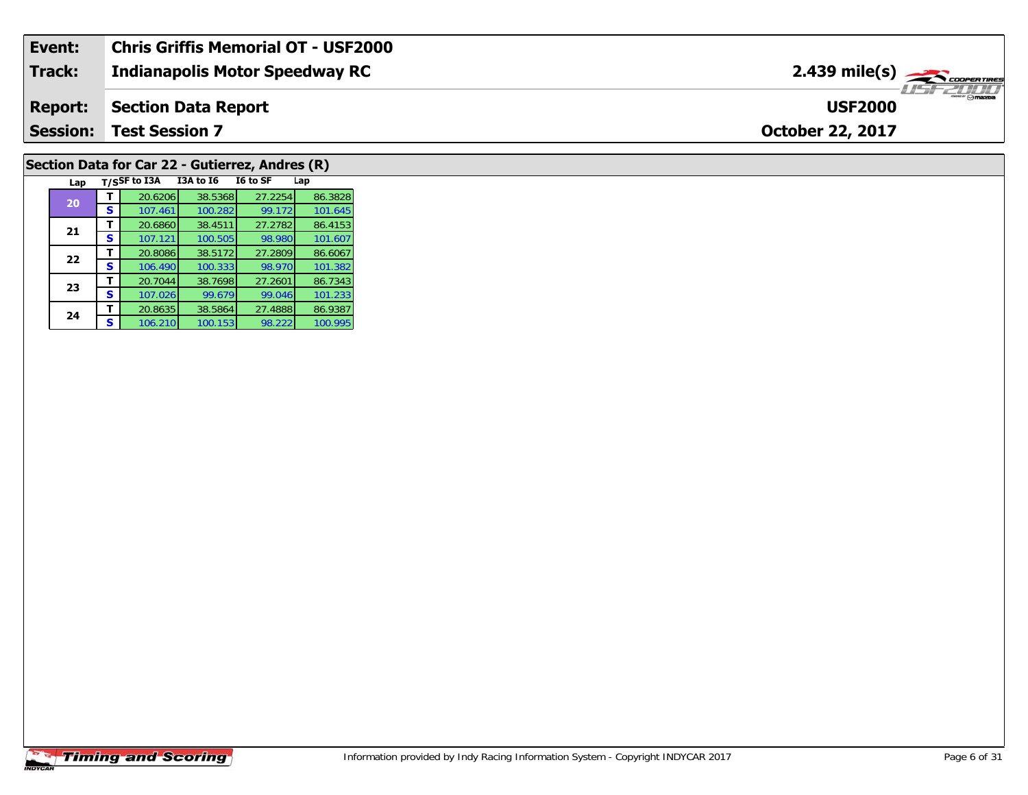| Event:          | <b>Chris Griffis Memorial OT - USF2000</b> |                                             |
|-----------------|--------------------------------------------|---------------------------------------------|
| <b>Track:</b>   | <b>Indianapolis Motor Speedway RC</b>      | $2.439$ mile(s) $\frac{1}{2.5}$ coorentines |
| <b>Report:</b>  | Section Data Report                        | $ \theta$ maxim<br><b>USF2000</b>           |
| <b>Session:</b> | <b>Test Session 7</b>                      | <b>October 22, 2017</b>                     |

# **Section Data for Car 22 - Gutierrez, Andres (R)**

| Lap |   | T/SSF to I3A | I3A to I6 | I6 to SF | Lap     |
|-----|---|--------------|-----------|----------|---------|
| 20  |   | 20.6206      | 38.5368   | 27.2254  | 86.3828 |
|     | S | 107.461      | 100.282   | 99.172   | 101.645 |
| 21  | т | 20.6860      | 38.4511   | 27.2782  | 86.4153 |
|     | S | 107.121      | 100.505   | 98.980   | 101.607 |
| 22  |   | 20.8086      | 38.5172   | 27.2809  | 86.6067 |
|     | S | 106.490      | 100.333   | 98.970   | 101.382 |
| 23  |   | 20.7044      | 38.7698   | 27.2601  | 86.7343 |
|     | s | 107.026      | 99.679    | 99.046   | 101.233 |
| 24  |   | 20.8635      | 38.5864   | 27.4888  | 86.9387 |
|     | S | 106.210      | 100.153   | 98.222   | 100.995 |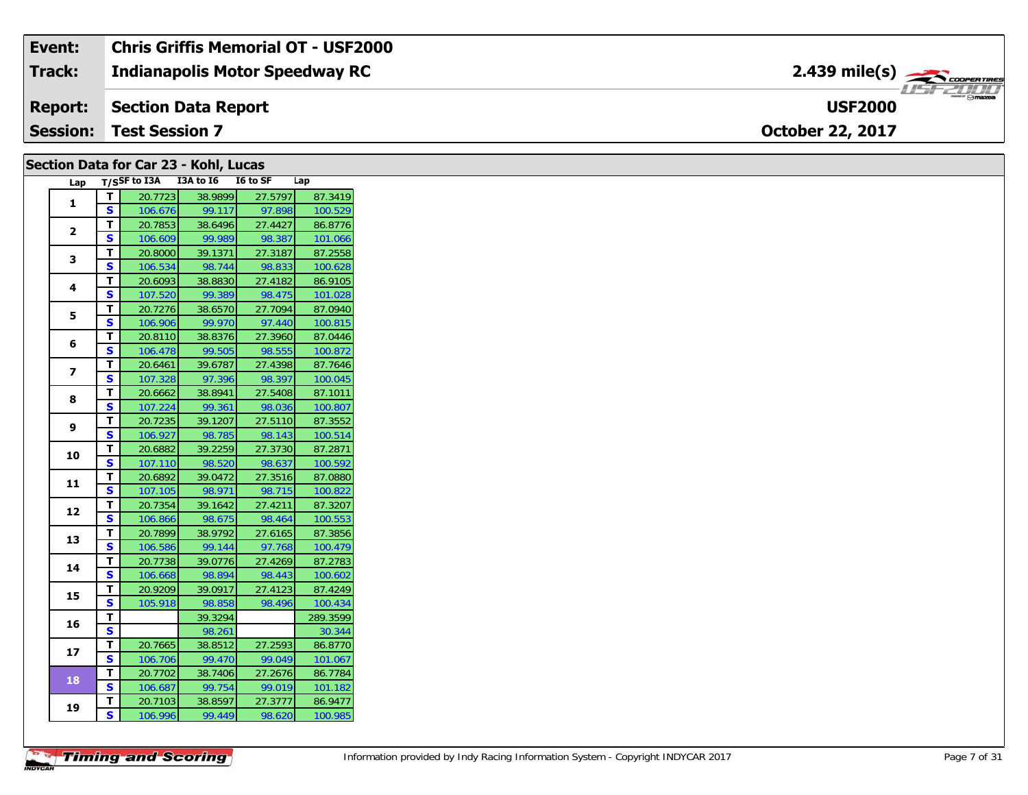| Event:          | Chris Griffis Memorial OT - USF2000   |                                            |
|-----------------|---------------------------------------|--------------------------------------------|
| Track:          | <b>Indianapolis Motor Speedway RC</b> | $2.439$ mile(s) $\rightarrow$ COOPER TIRES |
| <b>Report:</b>  | Section Data Report                   | <b>USF2000</b>                             |
| <b>Session:</b> | <b>Test Session 7</b>                 | <b>October 22, 2017</b>                    |

### **Section Data for Car 23 - Kohl, Lucas**

| Lap             |                         | T/SSF to I3A | I3A to I6 | I6 to SF | Lap      |
|-----------------|-------------------------|--------------|-----------|----------|----------|
| $\mathbf{1}$    | т                       | 20.7723      | 38.9899   | 27.5797  | 87.3419  |
|                 | S                       | 106.676      | 99.117    | 97.898   | 100.529  |
|                 | T                       | 20.7853      | 38.6496   | 27.4427  | 86.8776  |
| $\mathbf{2}$    | S                       | 106.609      | 99.989    | 98.387   | 101.066  |
|                 | T                       | 20.8000      | 39.1371   | 27.3187  | 87.2558  |
| 3               | S                       | 106.534      | 98.744    | 98.833   | 100.628  |
| 4               | т                       | 20.6093      | 38.8830   | 27.4182  | 86.9105  |
|                 | S                       | 107.520      | 99.389    | 98.475   | 101.028  |
|                 | т                       | 20.7276      | 38.6570   | 27.7094  | 87.0940  |
| 5               | S                       | 106.906      | 99.970    | 97.440   | 100.815  |
|                 | Т                       | 20.8110      | 38.8376   | 27.3960  | 87.0446  |
| 6               | Ś                       | 106.478      | 99.505    | 98.555   | 100.872  |
|                 | T                       | 20.6461      | 39.6787   | 27.4398  | 87.7646  |
| 7               | S                       | 107.328      | 97.396    | 98.397   | 100.045  |
| 8               | T                       | 20.6662      | 38.8941   | 27.5408  | 87.1011  |
|                 | $\overline{\mathbf{s}}$ | 107.224      | 99.361    | 98.036   | 100.807  |
|                 | Т                       | 20.7235      | 39.1207   | 27.5110  | 87.3552  |
| 9               | S                       | 106.927      | 98.785    | 98.143   | 100.514  |
|                 | т                       | 20.6882      | 39.2259   | 27.3730  | 87.2871  |
| 10              | S                       | 107.110      | 98.520    | 98.637   | 100.592  |
|                 | т                       | 20.6892      | 39.0472   | 27.3516  | 87.0880  |
| 11              | S                       | 107.105      | 98.971    | 98.715   | 100.822  |
|                 | т                       | 20.7354      | 39.1642   | 27.4211  | 87.3207  |
| 12              | S                       | 106.866      | 98.675    | 98.464   | 100.553  |
| 13              | T                       | 20.7899      | 38.9792   | 27.6165  | 87.3856  |
|                 | $\overline{\mathbf{s}}$ | 106.586      | 99.144    | 97.768   | 100.479  |
| 14              | T                       | 20.7738      | 39.0776   | 27.4269  | 87.2783  |
|                 | S                       | 106.668      | 98.894    | 98.443   | 100.602  |
| 15              | T                       | 20.9209      | 39.0917   | 27.4123  | 87.4249  |
|                 | S                       | 105.918      | 98.858    | 98.496   | 100.434  |
| 16              | т                       |              | 39.3294   |          | 289.3599 |
|                 | S                       |              | 98.261    |          | 30.344   |
| 17 <sub>2</sub> | т                       | 20.7665      | 38.8512   | 27.2593  | 86.8770  |
|                 | S                       | 106.706      | 99.470    | 99.049   | 101.067  |
| 18              | T                       | 20.7702      | 38.7406   | 27.2676  | 86.7784  |
|                 | S                       | 106.687      | 99.754    | 99.019   | 101.182  |
|                 | т                       | 20.7103      | 38.8597   | 27.3777  | 86.9477  |
| 19              | S                       | 106.996      | 99.449    | 98.620   | 100.985  |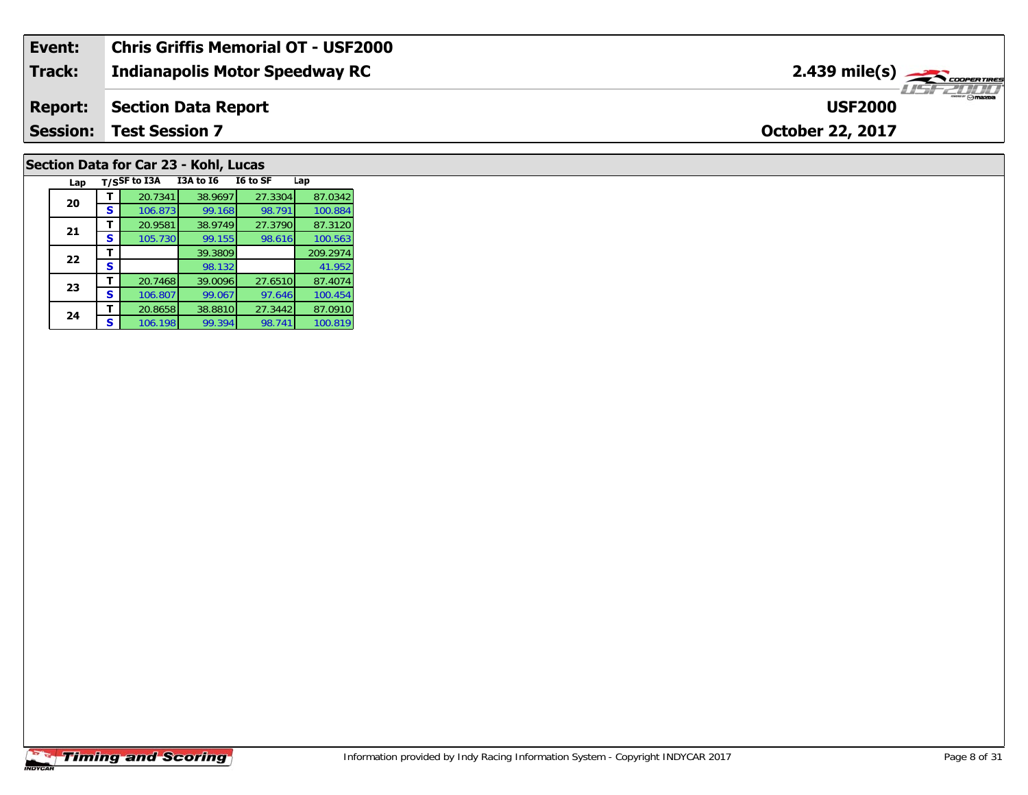| Event:         | Chris Griffis Memorial OT - USF2000   |                                 |
|----------------|---------------------------------------|---------------------------------|
| Track:         | <b>Indianapolis Motor Speedway RC</b> |                                 |
| <b>Report:</b> | Section Data Report                   | <b>Omazna</b><br><b>USF2000</b> |
| Session:       | <b>Test Session 7</b>                 | <b>October 22, 2017</b>         |
|                |                                       |                                 |

# **Section Data for Car 23 - Kohl, Lucas**

| Lap |   | T/SSF to I3A | <b>I3A to 16</b> | I6 to SF | Lap      |
|-----|---|--------------|------------------|----------|----------|
| 20  |   | 20.7341      | 38.9697          | 27.3304  | 87.0342  |
|     | s | 106.873      | 99.168           | 98.791   | 100.884  |
| 21  |   | 20.9581      | 38.9749          | 27.3790  | 87.3120  |
|     | s | 105.730      | 99.155           | 98.616   | 100.563  |
| 22  |   |              | 39.3809          |          | 209.2974 |
|     | s |              | 98.132           |          | 41.952   |
| 23  |   | 20.7468      | 39.0096          | 27.6510  | 87.4074  |
|     | S | 106.807      | 99.067           | 97.646   | 100.454  |
| 24  |   | 20.8658      | 38.8810          | 27.3442  | 87.0910  |
|     | s | 106.198      | 99.394           | 98.741   | 100.819  |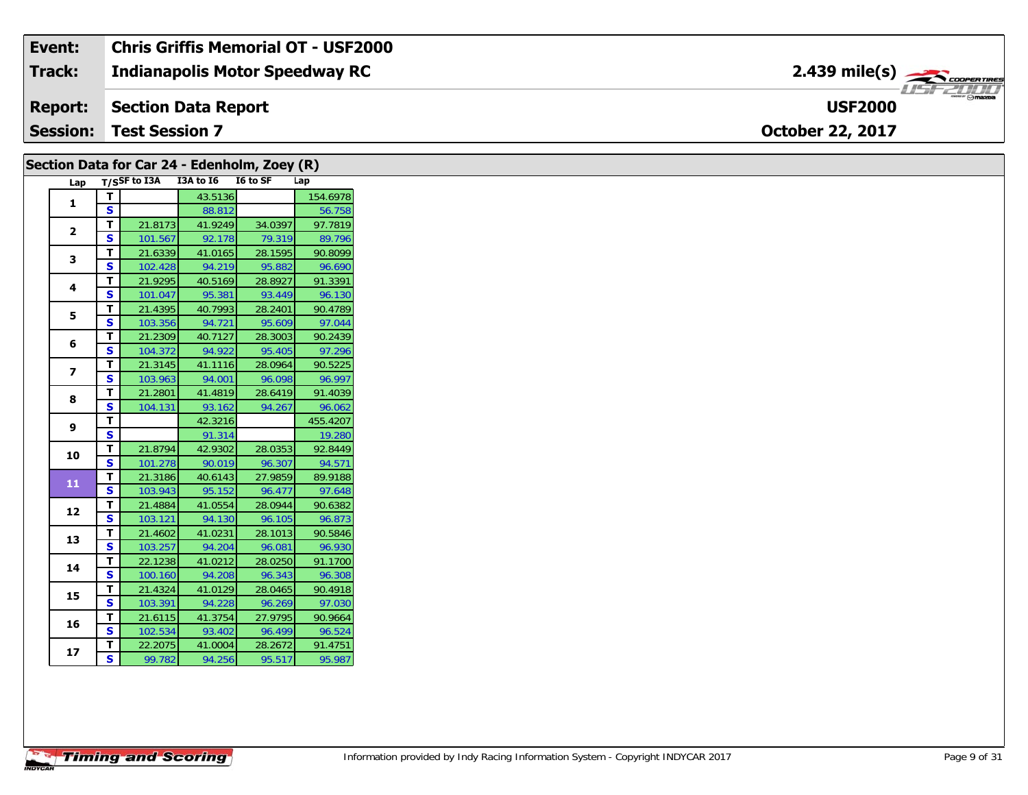### **Event: Chris Griffis Memorial OT - USF20002.439 mile(s)Indianapolis Motor Speedway RC Track:** USFZUHL **Report: Section Data Report USF2000 October 22, 2017 Session: Test Session 7**

# **Section Data for Car 24 - Edenholm, Zoey (R)**

| Lap                     | T/SSF to I3A            |         | I3A to I6 | I6 to SF | Lap      |  |
|-------------------------|-------------------------|---------|-----------|----------|----------|--|
| $\mathbf{1}$            | т                       |         | 43.5136   |          | 154.6978 |  |
|                         | S                       |         | 88.812    |          | 56.758   |  |
| 2                       | т                       | 21.8173 | 41.9249   | 34.0397  | 97.7819  |  |
|                         | S                       | 101.567 | 92.178    | 79.319   | 89.796   |  |
| 3                       | т                       | 21.6339 | 41.0165   | 28.1595  | 90.8099  |  |
|                         | S                       | 102.428 | 94.219    | 95.882   | 96.690   |  |
| 4                       | T                       | 21.9295 | 40.5169   | 28.8927  | 91.3391  |  |
|                         | S                       | 101.047 | 95.381    | 93.449   | 96.130   |  |
| 5                       | т                       | 21.4395 | 40.7993   | 28.2401  | 90.4789  |  |
|                         | S                       | 103.356 | 94.721    | 95.609   | 97.044   |  |
| 6                       | T                       | 21.2309 | 40.7127   | 28.3003  | 90.2439  |  |
|                         | S                       | 104.372 | 94.922    | 95.405   | 97.296   |  |
| $\overline{\mathbf{z}}$ | T                       | 21.3145 | 41.1116   | 28.0964  | 90.5225  |  |
|                         | S                       | 103.963 | 94.001    | 96.098   | 96.997   |  |
| 8                       | т                       | 21.2801 | 41.4819   | 28.6419  | 91.4039  |  |
|                         | $\overline{\mathbf{s}}$ | 104.131 | 93.162    | 94.267   | 96.062   |  |
| 9                       | т                       |         | 42.3216   |          | 455.4207 |  |
|                         | S                       |         | 91.314    |          | 19.280   |  |
| 10                      | т                       | 21.8794 | 42.9302   | 28.0353  | 92.8449  |  |
|                         | S                       | 101.278 | 90.019    | 96.307   | 94.571   |  |
| 11                      | т                       | 21.3186 | 40.6143   | 27.9859  | 89.9188  |  |
|                         | S                       | 103.943 | 95.152    | 96.477   | 97.648   |  |
| 12                      | т                       | 21.4884 | 41.0554   | 28.0944  | 90.6382  |  |
|                         | S                       | 103.121 | 94.130    | 96.105   | 96.873   |  |
| 13                      | T                       | 21.4602 | 41.0231   | 28.1013  | 90.5846  |  |
|                         | S                       | 103.257 | 94.204    | 96.081   | 96.930   |  |
| 14                      | т                       | 22.1238 | 41.0212   | 28.0250  | 91.1700  |  |
|                         | S                       | 100.160 | 94.208    | 96.343   | 96.308   |  |
| 15                      | T                       | 21.4324 | 41.0129   | 28.0465  | 90.4918  |  |
|                         | S                       | 103.391 | 94.228    | 96.269   | 97.030   |  |
| 16                      | T                       | 21.6115 | 41.3754   | 27.9795  | 90.9664  |  |
|                         | S                       | 102.534 | 93.402    | 96.499   | 96.524   |  |
| 17                      | т                       | 22.2075 | 41.0004   | 28.2672  | 91.4751  |  |
|                         | S                       | 99.782  | 94.256    | 95.517   | 95.987   |  |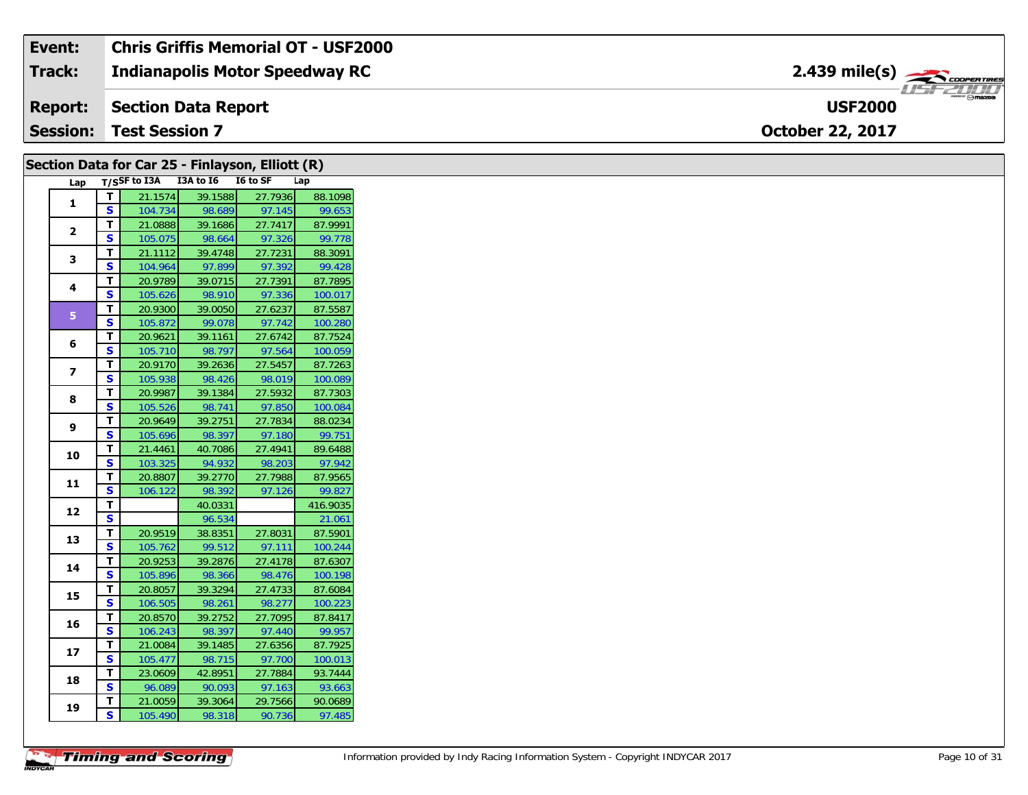| Event:        | <b>Chris Griffis Memorial OT - USF2000</b> |                                                                 |
|---------------|--------------------------------------------|-----------------------------------------------------------------|
| <b>Track:</b> | Indianapolis Motor Speedway RC             | $2.439$ mile(s) $\overbrace{\hspace{2.5cm}}^{3.28}$ coorentment |
|               | <b>Report:</b> Section Data Report         | <b>USF2000</b>                                                  |
|               | <b>Session: Test Session 7</b>             | <b>October 22, 2017</b>                                         |

|                         |                         |                                 |         | Section Data for Car 25 - Finlayson, Elliott (R) |          |
|-------------------------|-------------------------|---------------------------------|---------|--------------------------------------------------|----------|
| Lap                     |                         | T/SSF to I3A I3A to I6 I6 to SF |         |                                                  | Lap      |
| $\mathbf{1}$            | T                       | 21.1574                         | 39.1588 | 27.7936                                          | 88.1098  |
|                         | S                       | 104.734                         | 98.689  | 97.145                                           | 99.653   |
| $\mathbf{2}$            | T                       | 21.0888                         | 39.1686 | 27.7417                                          | 87.9991  |
|                         | S.                      | 105.075                         | 98.664  | 97.326                                           | 99.778   |
| 3                       | T                       | 21.1112                         | 39.4748 | 27.7231                                          | 88.3091  |
|                         | <b>S</b>                | 104.964                         | 97.899  | 97.392                                           | 99.428   |
| 4                       | T.                      | 20.9789                         | 39.0715 | 27.7391                                          | 87.7895  |
|                         | S                       | 105.626                         | 98.910  | 97.336                                           | 100.017  |
| 5 <sup>1</sup>          | $\mathbf{T}$            | 20.9300                         | 39.0050 | 27.6237                                          | 87.5587  |
|                         | <b>S</b>                | 105.872                         | 99.078  | 97.742                                           | 100.280  |
| 6                       | T                       | 20.9621                         | 39.1161 | 27.6742                                          | 87.7524  |
|                         | <b>S</b>                | 105.710                         | 98.797  | 97.564                                           | 100.059  |
| $\overline{\mathbf{z}}$ | T                       | 20.9170                         | 39.2636 | 27.5457                                          | 87.7263  |
|                         | S                       | 105.938                         | 98.426  | 98.019                                           | 100.089  |
| 8                       | T                       | 20.9987                         | 39.1384 | 27.5932                                          | 87.7303  |
|                         | <b>S</b>                | 105.526                         | 98.741  | 97.850                                           | 100.084  |
| 9                       | T                       | 20.9649                         | 39.2751 | 27.7834                                          | 88.0234  |
|                         | S                       | 105.696                         | 98.397  | 97.180                                           | 99.751   |
| 10                      | T.                      | 21.4461                         | 40.7086 | 27.4941                                          | 89.6488  |
|                         | S                       | 103.325                         | 94.932  | 98.203                                           | 97.942   |
| 11                      | T                       | 20.8807                         | 39.2770 | 27.7988                                          | 87.9565  |
|                         | S                       | 106.122                         | 98.392  | 97.126                                           | 99.827   |
| 12                      | T                       |                                 | 40.0331 |                                                  | 416.9035 |
|                         | $\overline{\mathbf{s}}$ |                                 | 96.534  |                                                  | 21.061   |
| 13                      | T                       | 20.9519                         | 38.8351 | 27.8031                                          | 87.5901  |
|                         | S.                      | 105.762                         | 99.512  | 97.111                                           | 100.244  |
| 14                      | T                       | 20.9253                         | 39.2876 | 27.4178                                          | 87.6307  |
|                         | S                       | 105.896                         | 98.366  | 98.476                                           | 100.198  |
| 15                      | T                       | 20.8057                         | 39.3294 | 27.4733                                          | 87.6084  |
|                         | S.                      | 106.505                         | 98.261  | 98.277                                           | 100.223  |
| 16                      | T.                      | 20.8570                         | 39.2752 | 27.7095                                          | 87.8417  |
|                         | S                       | 106.243                         | 98.397  | 97.440                                           | 99.957   |
| 17                      | T                       | 21.0084                         | 39.1485 | 27.6356                                          | 87.7925  |
|                         | S.                      | 105.477                         | 98.715  | 97.700                                           | 100.013  |
| 18                      | T                       | 23.0609                         | 42.8951 | 27.7884                                          | 93.7444  |
|                         | <b>S</b>                | 96.089                          | 90.093  | 97.163                                           | 93.663   |
| 19                      | Τ.                      | 21.0059                         | 39.3064 | 29.7566                                          | 90.0689  |
|                         | S.                      | 105.490                         | 98.318  | 90.736                                           | 97.485   |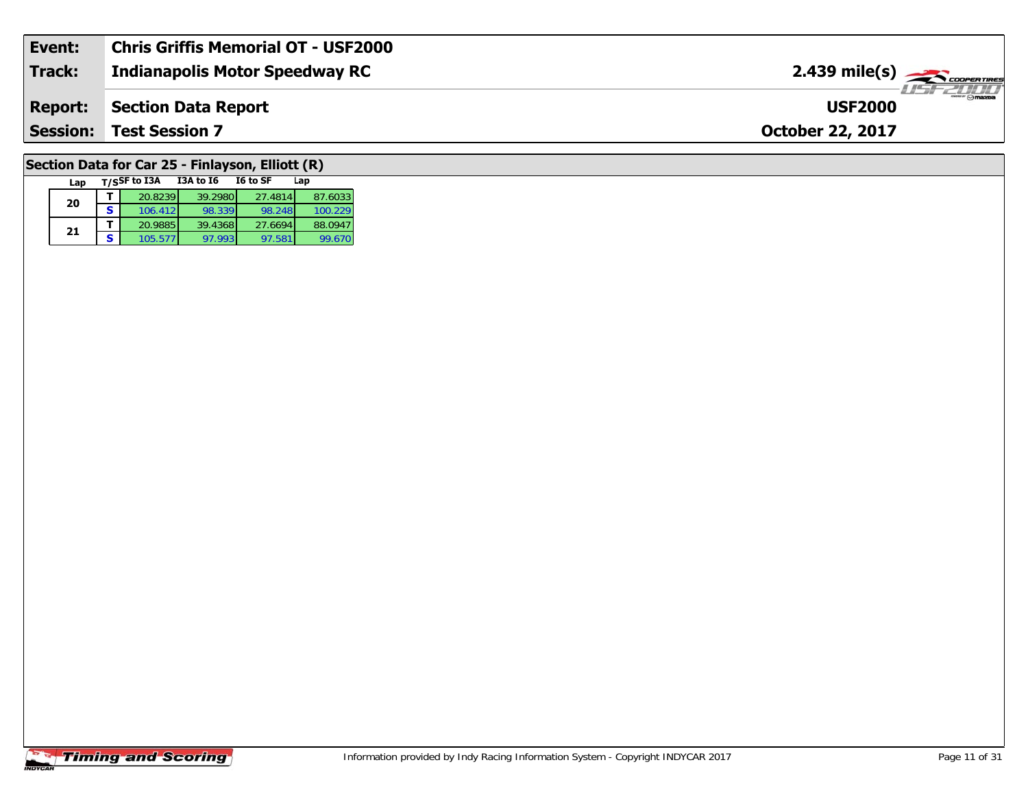| Event:          | <b>Chris Griffis Memorial OT - USF2000</b> |                                                |
|-----------------|--------------------------------------------|------------------------------------------------|
| <b>Track:</b>   | <b>Indianapolis Motor Speedway RC</b>      | $2.439$ mile(s) $\frac{1}{2.436}$ coorer Times |
| <b>Report:</b>  | Section Data Report                        | <b>USF2000</b>                                 |
| <b>Session:</b> | Test Session 7                             | <b>October 22, 2017</b>                        |
|                 |                                            |                                                |

# **Section Data for Car 25 - Finlayson, Elliott (R)**

| Lap |   | T/SSF to I3A | I6 to SF<br>I3A to I6 | Lap     |         |
|-----|---|--------------|-----------------------|---------|---------|
| 20  |   | 20.8239      | 39.2980               | 27.4814 | 87.6033 |
|     | S | 106.412      | 98.339                | 98.248  | 100.229 |
| 21  |   | 20.9885      | 39.4368               | 27.6694 | 88.0947 |
|     | S | 105.577      | 97.993                | 97.581  | 99.670  |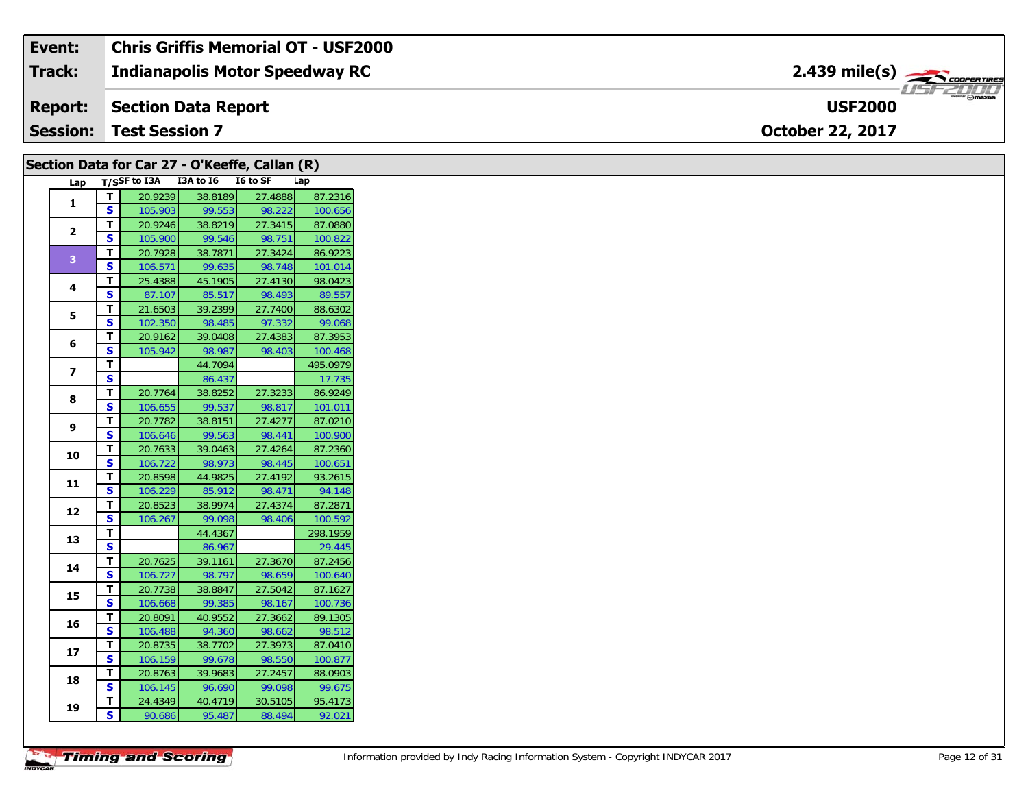| Event:          | <b>Chris Griffis Memorial OT - USF2000</b> |                               |
|-----------------|--------------------------------------------|-------------------------------|
| Track:          | <b>Indianapolis Motor Speedway RC</b>      | $2.439$ mile(s) $\rightarrow$ |
| <b>Report:</b>  | Section Data Report                        | <b>USF2000</b>                |
| <b>Session:</b> | <b>Test Session 7</b>                      | <b>October 22, 2017</b>       |

| Section Data for Car 27 - O'Keeffe, Callan (R) |              |                                     |         |         |          |
|------------------------------------------------|--------------|-------------------------------------|---------|---------|----------|
|                                                |              | Lap T/SSF to I3A I3A to I6 I6 to SF |         |         | Lap      |
| 1                                              | T            | 20.9239                             | 38.8189 | 27.4888 | 87.2316  |
|                                                | S            | 105.903                             | 99.553  | 98.222  | 100.656  |
| $\mathbf{2}$                                   | т            | 20.9246                             | 38.8219 | 27.3415 | 87.0880  |
|                                                | S.           | 105.900                             | 99.546  | 98.751  | 100.822  |
| $\overline{3}$                                 | T.           | 20.7928                             | 38.7871 | 27.3424 | 86.9223  |
|                                                | S.           | 106.571                             | 99.635  | 98.748  | 101.014  |
| 4                                              | Τ.           | 25.4388                             | 45.1905 | 27.4130 | 98.0423  |
|                                                | S            | 87.107                              | 85.517  | 98.493  | 89.557   |
| 5                                              | T.           | 21.6503                             | 39.2399 | 27.7400 | 88.6302  |
|                                                | S            | 102.350                             | 98.485  | 97.332  | 99.068   |
| 6                                              | T.           | 20.9162                             | 39.0408 | 27.4383 | 87.3953  |
|                                                | S            | 105.942                             | 98.987  | 98.403  | 100.468  |
| $\overline{\mathbf{z}}$                        | T.           |                                     | 44.7094 |         | 495.0979 |
|                                                | $\mathbf{s}$ |                                     | 86.437  |         | 17.735   |
| 8                                              | T.           | 20.7764                             | 38.8252 | 27.3233 | 86.9249  |
|                                                | S            | 106.655                             | 99.537  | 98.817  | 101.011  |
| 9                                              | т            | 20.7782                             | 38.8151 | 27.4277 | 87.0210  |
|                                                | S.           | 106.646                             | 99.563  | 98.441  | 100.900  |
| 10                                             | T.           | 20.7633                             | 39.0463 | 27.4264 | 87.2360  |
|                                                | S            | 106.722                             | 98.973  | 98.445  | 100.651  |
| 11                                             | т            | 20.8598                             | 44.9825 | 27.4192 | 93.2615  |
|                                                | S            | 106.229                             | 85.912  | 98.471  | 94.148   |
| 12                                             | T.           | 20.8523                             | 38.9974 | 27.4374 | 87.2871  |
|                                                | S            | 106.267                             | 99.098  | 98.406  | 100.592  |
| 13                                             | T            |                                     | 44.4367 |         | 298.1959 |
|                                                | $\mathbf{s}$ |                                     | 86.967  |         | 29.445   |
| 14                                             | т            | 20.7625                             | 39.1161 | 27.3670 | 87.2456  |
|                                                | $\mathbf{s}$ | 106.727                             | 98.797  | 98.659  | 100.640  |
| 15                                             | T            | 20.7738                             | 38.8847 | 27.5042 | 87.1627  |
|                                                | S            | 106.668                             | 99.385  | 98.167  | 100.736  |
| 16                                             | т            | 20.8091                             | 40.9552 | 27.3662 | 89.1305  |
|                                                | S.           | 106.488                             | 94.360  | 98.662  | 98.512   |
| 17                                             | T.           | 20.8735                             | 38.7702 | 27.3973 | 87.0410  |
|                                                | S            | 106.159                             | 99.678  | 98.550  | 100.877  |
| 18                                             | T.           | 20.8763                             | 39.9683 | 27.2457 | 88.0903  |
|                                                | S            | 106.145                             | 96.690  | 99.098  | 99.675   |
| 19                                             | T.           | 24.4349                             | 40.4719 | 30.5105 | 95.4173  |
|                                                | S.           | 90.686                              | 95.487  | 88.494  | 92.021   |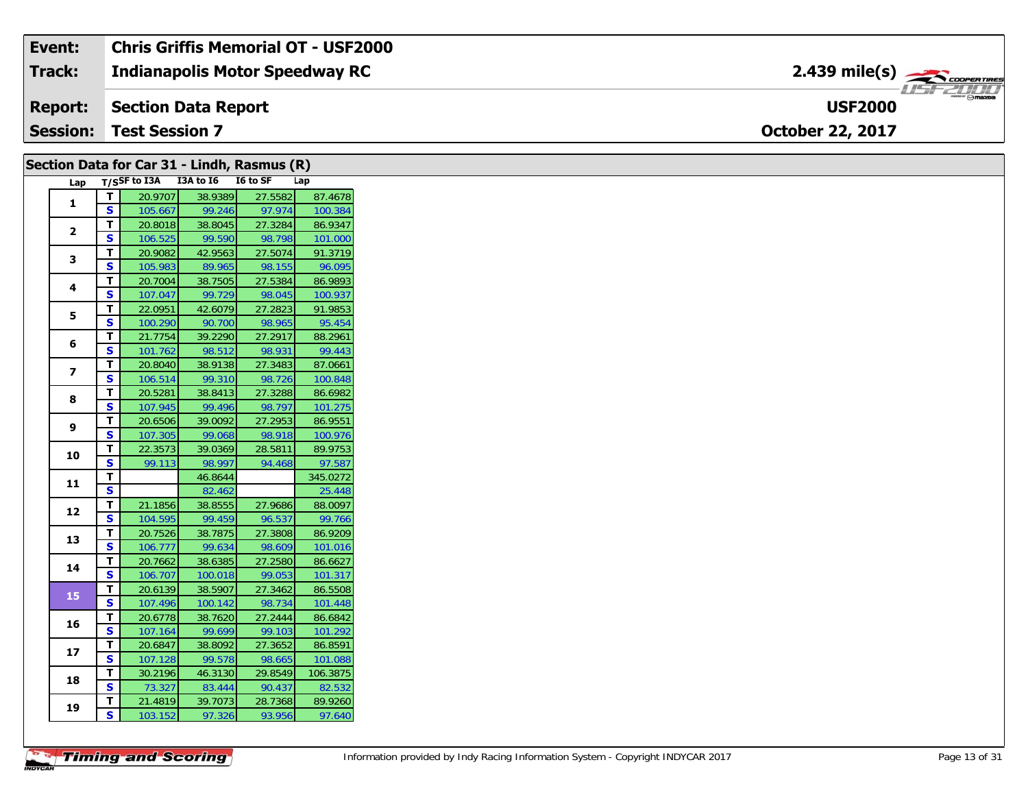#### **Event: Chris Griffis Memorial OT - USF2000** 2.439 mile(s) **2.439 miles Indianapolis Motor Speedway RC Track:** USF 2000 **USF2000Report: Section Data Report Session:October 22, 2017 Test Session 7**

| T/SSF to I3A I3A to I6 I6 to SF<br>Lap<br>Lap<br>20.9707<br>38.9389<br>27.5582<br>T<br>1<br>$\overline{\mathbf{s}}$<br>97.974<br>99.246<br>105.667<br>T<br>20.8018<br>38.8045<br>27.3284<br>$\mathbf{2}$<br>$\mathbf{s}$<br>106.525<br>99.590<br>98.798<br>T<br>20.9082<br>42.9563<br>27.5074<br>3<br>$\mathbf{s}$<br>105.983<br>89.965<br>98.155<br>T<br>20.7004<br>38.7505<br>27.5384<br>4<br>S<br>107.047<br>99.729<br>98.045<br>$\mathbf{T}$<br>22.0951<br>42.6079<br>27.2823<br>5<br>S<br>100.290<br>90.700<br>98.965<br>T<br>39.2290<br>27.2917<br>21.7754<br>6<br>$\mathbf{s}$<br>101.762<br>98.512<br>98.931<br>T<br>27.3483<br>20.8040<br>38.9138<br>$\overline{ }$<br>S<br>106.514<br>99.310<br>98.726<br>$\mathbf{T}$<br>27.3288<br>20.5281<br>38.8413<br>8<br>S<br>99.496<br>98.797<br>107.945<br>T<br>20.6506<br>39.0092<br>27.2953<br>9<br><b>S</b><br>98.918<br>107.305<br>99.068<br>Т<br>22.3573<br>39.0369<br>28.5811<br>10<br>$\overline{\mathbf{s}}$<br>99.113<br>98.997<br>94.468<br>T<br>46.8644<br>11<br>$\mathbf{s}$<br>82.462<br>$\overline{\mathbf{T}}$<br>27.9686<br>21.1856<br>38.8555<br>12<br>$\mathbf{s}$<br>104.595<br>99.459<br>96.537<br>T.<br>20.7526<br>38.7875<br>27.3808<br>13<br>$\mathbf{s}$<br>99.634<br>98.609<br>106.777<br>T<br>27.2580<br>20.7662<br>38.6385<br>14<br>S<br>99.053<br>106.707<br>100.018<br>$\mathbf T$<br>20.6139<br>38.5907<br>27.3462<br>15<br>$\overline{\mathbf{s}}$<br>98.734<br>107.496<br>100.142<br>T.<br>20.6778<br>38.7620<br>27.2444<br>16<br>S<br>107.164<br>99.699<br>99.103<br>T.<br>20.6847<br>38.8092<br>27.3652<br>17<br>S<br>99.578<br>107.128<br>98.665<br>T<br>29.8549<br>30.2196<br>46.3130<br>18<br>$\mathbf{s}$<br>73.327<br>83.444<br>90.437<br>T<br>21.4819<br>39.7073<br>28.7368<br>19<br>$\mathbf{s}$<br>103.152 |  | Section Data for Car 31 - Lindh, Rasmus (R) |        |        |         |
|---------------------------------------------------------------------------------------------------------------------------------------------------------------------------------------------------------------------------------------------------------------------------------------------------------------------------------------------------------------------------------------------------------------------------------------------------------------------------------------------------------------------------------------------------------------------------------------------------------------------------------------------------------------------------------------------------------------------------------------------------------------------------------------------------------------------------------------------------------------------------------------------------------------------------------------------------------------------------------------------------------------------------------------------------------------------------------------------------------------------------------------------------------------------------------------------------------------------------------------------------------------------------------------------------------------------------------------------------------------------------------------------------------------------------------------------------------------------------------------------------------------------------------------------------------------------------------------------------------------------------------------------------------------------------------------------------------------------------------------------------------------------------------------------------------|--|---------------------------------------------|--------|--------|---------|
| 100.384<br>88.2961<br>87.0661<br>86.9551<br>97.587<br>86.8591                                                                                                                                                                                                                                                                                                                                                                                                                                                                                                                                                                                                                                                                                                                                                                                                                                                                                                                                                                                                                                                                                                                                                                                                                                                                                                                                                                                                                                                                                                                                                                                                                                                                                                                                           |  |                                             |        |        |         |
| 86.9347<br>101.000<br>91.3719<br>96.095<br>86.9893<br>100.937<br>91.9853<br>95.454<br>99.443<br>100.848<br>86.6982<br>101.275<br>100.976<br>89.9753<br>345.0272<br>25.448<br>88.0097<br>99.766<br>86.9209<br>101.016<br>86.6627<br>101.317<br>86.5508<br>101.448<br>86.6842<br>101.292<br>101.088<br>106.3875<br>82.532<br>89.9260<br>97.640                                                                                                                                                                                                                                                                                                                                                                                                                                                                                                                                                                                                                                                                                                                                                                                                                                                                                                                                                                                                                                                                                                                                                                                                                                                                                                                                                                                                                                                            |  |                                             |        |        | 87.4678 |
|                                                                                                                                                                                                                                                                                                                                                                                                                                                                                                                                                                                                                                                                                                                                                                                                                                                                                                                                                                                                                                                                                                                                                                                                                                                                                                                                                                                                                                                                                                                                                                                                                                                                                                                                                                                                         |  |                                             |        |        |         |
|                                                                                                                                                                                                                                                                                                                                                                                                                                                                                                                                                                                                                                                                                                                                                                                                                                                                                                                                                                                                                                                                                                                                                                                                                                                                                                                                                                                                                                                                                                                                                                                                                                                                                                                                                                                                         |  |                                             |        |        |         |
|                                                                                                                                                                                                                                                                                                                                                                                                                                                                                                                                                                                                                                                                                                                                                                                                                                                                                                                                                                                                                                                                                                                                                                                                                                                                                                                                                                                                                                                                                                                                                                                                                                                                                                                                                                                                         |  |                                             |        |        |         |
|                                                                                                                                                                                                                                                                                                                                                                                                                                                                                                                                                                                                                                                                                                                                                                                                                                                                                                                                                                                                                                                                                                                                                                                                                                                                                                                                                                                                                                                                                                                                                                                                                                                                                                                                                                                                         |  |                                             |        |        |         |
|                                                                                                                                                                                                                                                                                                                                                                                                                                                                                                                                                                                                                                                                                                                                                                                                                                                                                                                                                                                                                                                                                                                                                                                                                                                                                                                                                                                                                                                                                                                                                                                                                                                                                                                                                                                                         |  |                                             |        |        |         |
|                                                                                                                                                                                                                                                                                                                                                                                                                                                                                                                                                                                                                                                                                                                                                                                                                                                                                                                                                                                                                                                                                                                                                                                                                                                                                                                                                                                                                                                                                                                                                                                                                                                                                                                                                                                                         |  |                                             |        |        |         |
|                                                                                                                                                                                                                                                                                                                                                                                                                                                                                                                                                                                                                                                                                                                                                                                                                                                                                                                                                                                                                                                                                                                                                                                                                                                                                                                                                                                                                                                                                                                                                                                                                                                                                                                                                                                                         |  |                                             |        |        |         |
|                                                                                                                                                                                                                                                                                                                                                                                                                                                                                                                                                                                                                                                                                                                                                                                                                                                                                                                                                                                                                                                                                                                                                                                                                                                                                                                                                                                                                                                                                                                                                                                                                                                                                                                                                                                                         |  |                                             |        |        |         |
|                                                                                                                                                                                                                                                                                                                                                                                                                                                                                                                                                                                                                                                                                                                                                                                                                                                                                                                                                                                                                                                                                                                                                                                                                                                                                                                                                                                                                                                                                                                                                                                                                                                                                                                                                                                                         |  |                                             |        |        |         |
|                                                                                                                                                                                                                                                                                                                                                                                                                                                                                                                                                                                                                                                                                                                                                                                                                                                                                                                                                                                                                                                                                                                                                                                                                                                                                                                                                                                                                                                                                                                                                                                                                                                                                                                                                                                                         |  |                                             |        |        |         |
|                                                                                                                                                                                                                                                                                                                                                                                                                                                                                                                                                                                                                                                                                                                                                                                                                                                                                                                                                                                                                                                                                                                                                                                                                                                                                                                                                                                                                                                                                                                                                                                                                                                                                                                                                                                                         |  |                                             |        |        |         |
|                                                                                                                                                                                                                                                                                                                                                                                                                                                                                                                                                                                                                                                                                                                                                                                                                                                                                                                                                                                                                                                                                                                                                                                                                                                                                                                                                                                                                                                                                                                                                                                                                                                                                                                                                                                                         |  |                                             |        |        |         |
|                                                                                                                                                                                                                                                                                                                                                                                                                                                                                                                                                                                                                                                                                                                                                                                                                                                                                                                                                                                                                                                                                                                                                                                                                                                                                                                                                                                                                                                                                                                                                                                                                                                                                                                                                                                                         |  |                                             |        |        |         |
|                                                                                                                                                                                                                                                                                                                                                                                                                                                                                                                                                                                                                                                                                                                                                                                                                                                                                                                                                                                                                                                                                                                                                                                                                                                                                                                                                                                                                                                                                                                                                                                                                                                                                                                                                                                                         |  |                                             |        |        |         |
|                                                                                                                                                                                                                                                                                                                                                                                                                                                                                                                                                                                                                                                                                                                                                                                                                                                                                                                                                                                                                                                                                                                                                                                                                                                                                                                                                                                                                                                                                                                                                                                                                                                                                                                                                                                                         |  |                                             |        |        |         |
|                                                                                                                                                                                                                                                                                                                                                                                                                                                                                                                                                                                                                                                                                                                                                                                                                                                                                                                                                                                                                                                                                                                                                                                                                                                                                                                                                                                                                                                                                                                                                                                                                                                                                                                                                                                                         |  |                                             |        |        |         |
|                                                                                                                                                                                                                                                                                                                                                                                                                                                                                                                                                                                                                                                                                                                                                                                                                                                                                                                                                                                                                                                                                                                                                                                                                                                                                                                                                                                                                                                                                                                                                                                                                                                                                                                                                                                                         |  |                                             |        |        |         |
|                                                                                                                                                                                                                                                                                                                                                                                                                                                                                                                                                                                                                                                                                                                                                                                                                                                                                                                                                                                                                                                                                                                                                                                                                                                                                                                                                                                                                                                                                                                                                                                                                                                                                                                                                                                                         |  |                                             |        |        |         |
|                                                                                                                                                                                                                                                                                                                                                                                                                                                                                                                                                                                                                                                                                                                                                                                                                                                                                                                                                                                                                                                                                                                                                                                                                                                                                                                                                                                                                                                                                                                                                                                                                                                                                                                                                                                                         |  |                                             |        |        |         |
|                                                                                                                                                                                                                                                                                                                                                                                                                                                                                                                                                                                                                                                                                                                                                                                                                                                                                                                                                                                                                                                                                                                                                                                                                                                                                                                                                                                                                                                                                                                                                                                                                                                                                                                                                                                                         |  |                                             |        |        |         |
|                                                                                                                                                                                                                                                                                                                                                                                                                                                                                                                                                                                                                                                                                                                                                                                                                                                                                                                                                                                                                                                                                                                                                                                                                                                                                                                                                                                                                                                                                                                                                                                                                                                                                                                                                                                                         |  |                                             |        |        |         |
|                                                                                                                                                                                                                                                                                                                                                                                                                                                                                                                                                                                                                                                                                                                                                                                                                                                                                                                                                                                                                                                                                                                                                                                                                                                                                                                                                                                                                                                                                                                                                                                                                                                                                                                                                                                                         |  |                                             |        |        |         |
|                                                                                                                                                                                                                                                                                                                                                                                                                                                                                                                                                                                                                                                                                                                                                                                                                                                                                                                                                                                                                                                                                                                                                                                                                                                                                                                                                                                                                                                                                                                                                                                                                                                                                                                                                                                                         |  |                                             |        |        |         |
|                                                                                                                                                                                                                                                                                                                                                                                                                                                                                                                                                                                                                                                                                                                                                                                                                                                                                                                                                                                                                                                                                                                                                                                                                                                                                                                                                                                                                                                                                                                                                                                                                                                                                                                                                                                                         |  |                                             |        |        |         |
|                                                                                                                                                                                                                                                                                                                                                                                                                                                                                                                                                                                                                                                                                                                                                                                                                                                                                                                                                                                                                                                                                                                                                                                                                                                                                                                                                                                                                                                                                                                                                                                                                                                                                                                                                                                                         |  |                                             |        |        |         |
|                                                                                                                                                                                                                                                                                                                                                                                                                                                                                                                                                                                                                                                                                                                                                                                                                                                                                                                                                                                                                                                                                                                                                                                                                                                                                                                                                                                                                                                                                                                                                                                                                                                                                                                                                                                                         |  |                                             |        |        |         |
|                                                                                                                                                                                                                                                                                                                                                                                                                                                                                                                                                                                                                                                                                                                                                                                                                                                                                                                                                                                                                                                                                                                                                                                                                                                                                                                                                                                                                                                                                                                                                                                                                                                                                                                                                                                                         |  |                                             |        |        |         |
|                                                                                                                                                                                                                                                                                                                                                                                                                                                                                                                                                                                                                                                                                                                                                                                                                                                                                                                                                                                                                                                                                                                                                                                                                                                                                                                                                                                                                                                                                                                                                                                                                                                                                                                                                                                                         |  |                                             |        |        |         |
|                                                                                                                                                                                                                                                                                                                                                                                                                                                                                                                                                                                                                                                                                                                                                                                                                                                                                                                                                                                                                                                                                                                                                                                                                                                                                                                                                                                                                                                                                                                                                                                                                                                                                                                                                                                                         |  |                                             |        |        |         |
|                                                                                                                                                                                                                                                                                                                                                                                                                                                                                                                                                                                                                                                                                                                                                                                                                                                                                                                                                                                                                                                                                                                                                                                                                                                                                                                                                                                                                                                                                                                                                                                                                                                                                                                                                                                                         |  |                                             |        |        |         |
|                                                                                                                                                                                                                                                                                                                                                                                                                                                                                                                                                                                                                                                                                                                                                                                                                                                                                                                                                                                                                                                                                                                                                                                                                                                                                                                                                                                                                                                                                                                                                                                                                                                                                                                                                                                                         |  |                                             |        |        |         |
|                                                                                                                                                                                                                                                                                                                                                                                                                                                                                                                                                                                                                                                                                                                                                                                                                                                                                                                                                                                                                                                                                                                                                                                                                                                                                                                                                                                                                                                                                                                                                                                                                                                                                                                                                                                                         |  |                                             |        |        |         |
|                                                                                                                                                                                                                                                                                                                                                                                                                                                                                                                                                                                                                                                                                                                                                                                                                                                                                                                                                                                                                                                                                                                                                                                                                                                                                                                                                                                                                                                                                                                                                                                                                                                                                                                                                                                                         |  |                                             |        |        |         |
|                                                                                                                                                                                                                                                                                                                                                                                                                                                                                                                                                                                                                                                                                                                                                                                                                                                                                                                                                                                                                                                                                                                                                                                                                                                                                                                                                                                                                                                                                                                                                                                                                                                                                                                                                                                                         |  |                                             |        |        |         |
|                                                                                                                                                                                                                                                                                                                                                                                                                                                                                                                                                                                                                                                                                                                                                                                                                                                                                                                                                                                                                                                                                                                                                                                                                                                                                                                                                                                                                                                                                                                                                                                                                                                                                                                                                                                                         |  |                                             |        |        |         |
|                                                                                                                                                                                                                                                                                                                                                                                                                                                                                                                                                                                                                                                                                                                                                                                                                                                                                                                                                                                                                                                                                                                                                                                                                                                                                                                                                                                                                                                                                                                                                                                                                                                                                                                                                                                                         |  |                                             | 97.326 | 93.956 |         |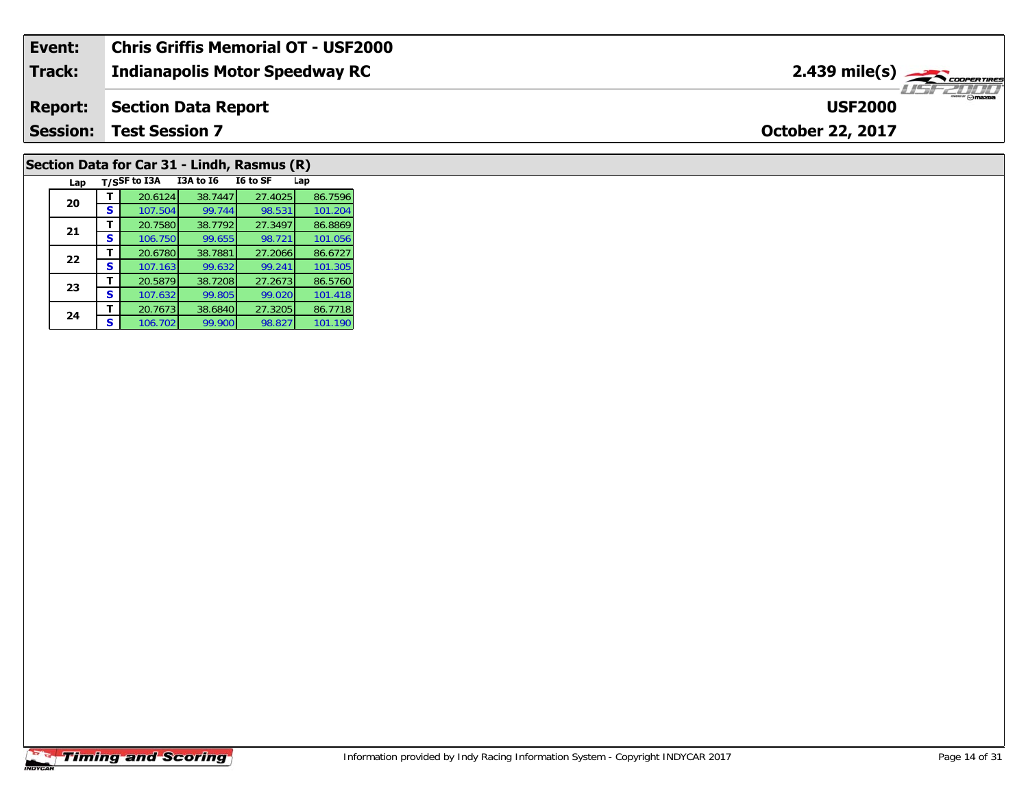| Event:          | Chris Griffis Memorial OT - USF2000 |                                           |
|-----------------|-------------------------------------|-------------------------------------------|
| <b>Track:</b>   | Indianapolis Motor Speedway RC      | $2.439$ mile(s) $\sum$ <i>coorentines</i> |
| <b>Report:</b>  | Section Data Report                 | <b>Omazoa</b><br><b>USF2000</b>           |
| <b>Session:</b> | <b>Test Session 7</b>               | <b>October 22, 2017</b>                   |
|                 |                                     |                                           |

# **Section Data for Car 31 - Lindh, Rasmus (R)**

| Lap |   | T/SSF to I3A | <b>I3A to 16</b> | I6 to SF | Lap     |
|-----|---|--------------|------------------|----------|---------|
| 20  |   | 20.6124      | 38.7447          | 27.4025  | 86.7596 |
|     | s | 107.504      | 99.744           | 98.531   | 101.204 |
| 21  |   | 20.7580      | 38.7792          | 27.3497  | 86.8869 |
|     | s | 106.750      | 99.655           | 98.721   | 101.056 |
| 22  |   | 20.6780      | 38.7881          | 27.2066  | 86.6727 |
|     | s | 107.163      | 99.632           | 99.241   | 101.305 |
| 23  |   | 20.5879      | 38.7208          | 27.2673  | 86.5760 |
|     | s | 107.632      | 99.805           | 99.020   | 101.418 |
| 24  |   | 20.7673      | 38.6840          | 27.3205  | 86.7718 |
|     | s | 106.702      | 99.900           | 98.827   | 101.190 |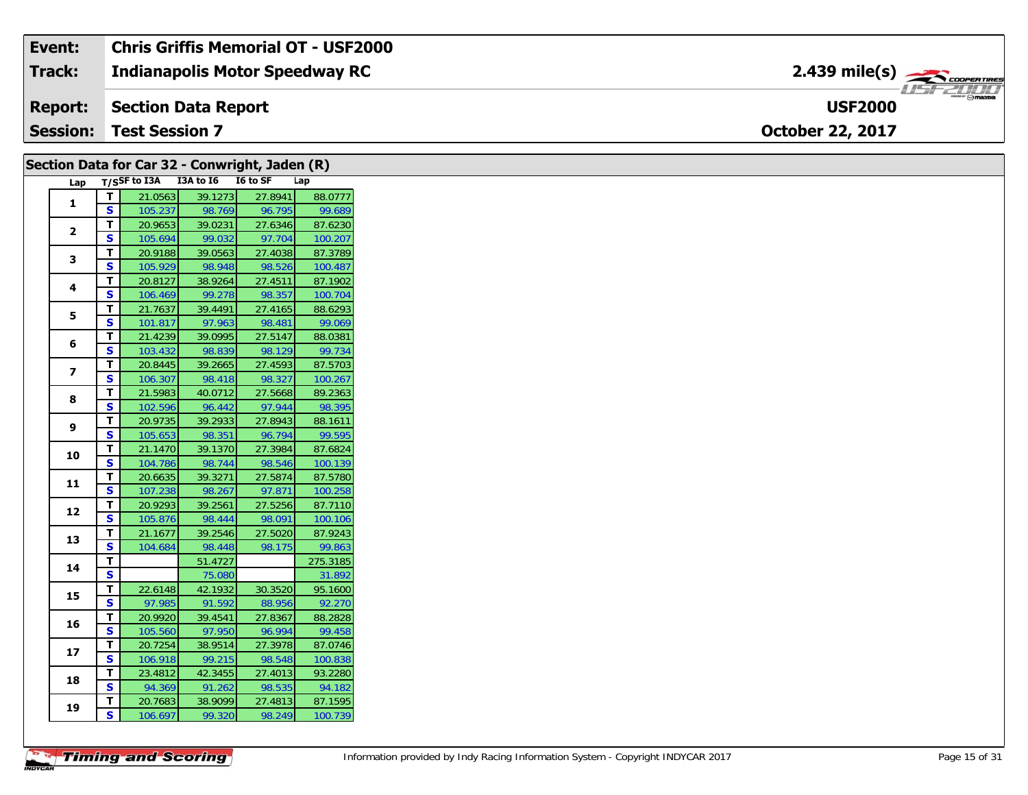| Event:          | Chris Griffis Memorial OT - USF2000   |                                                              |
|-----------------|---------------------------------------|--------------------------------------------------------------|
| <b>Track:</b>   | <b>Indianapolis Motor Speedway RC</b> | $2.439$ mile(s) $\overbrace{\hspace{2.5cm}}^{3}$ coderatings |
| <b>Report:</b>  | Section Data Report                   | <b>USF2000</b>                                               |
| <b>Session:</b> | <b>Test Session 7</b>                 | <b>October 22, 2017</b>                                      |

|                |              |                                     |                   | Section Data for Car 32 - Conwright, Jaden (R) |                    |
|----------------|--------------|-------------------------------------|-------------------|------------------------------------------------|--------------------|
|                |              | Lap T/SSF to I3A I3A to I6 I6 to SF |                   |                                                | Lap                |
|                | T.           | 21.0563                             | 39.1273           | 27.8941                                        | 88.0777            |
| 1              | S.           | 105.237                             | 98.769            | 96.795                                         | 99.689             |
| $\mathbf{2}$   | T.           | 20.9653                             | 39.0231           | 27.6346                                        | 87.6230            |
|                | S.           | 105.694                             | 99.032            | 97.704                                         | 100.207            |
| 3              | T.           | 20.9188                             | 39.0563           | 27.4038                                        | 87.3789            |
|                | S.           | 105.929                             | 98.948            | 98.526                                         | 100.487            |
| 4              | Τ.           | 20.8127                             | 38.9264           | 27.4511                                        | 87.1902            |
|                | S.           | 106.469                             | 99.278            | 98.357                                         | 100.704            |
| 5              | T.           | 21.7637                             | 39.4491           | 27.4165                                        | 88.6293            |
|                | S            | 101.817                             | 97.963            | 98.481                                         | 99.069             |
| 6              | T.           | 21.4239                             | 39.0995           | 27.5147                                        | 88.0381            |
|                | S.           | 103.432                             | 98.839            | 98.129                                         | 99.734             |
| $\overline{ }$ | T.           | 20.8445                             | 39.2665           | 27.4593                                        | 87.5703            |
|                | S.           | 106.307                             | 98.418            | 98.327                                         | 100.267            |
| 8              | T.           | 21.5983                             | 40.0712           | 27.5668                                        | 89.2363            |
|                | S.           | 102.596                             | 96.442            | 97.944                                         | 98.395             |
| 9              | Τ.           | 20.9735                             | 39.2933           | 27.8943                                        | 88.1611            |
|                | $\mathbf{s}$ | 105.653                             | 98.351            | 96.794                                         | 99.595             |
| 10             | T.           | 21.1470                             | 39.1370           | 27.3984                                        | 87.6824            |
|                | S            | 104.786                             | 98.744            | 98.546                                         | 100.139            |
| 11             | T.           | 20.6635                             | 39.3271           | 27.5874                                        | 87.5780            |
|                | S            | 107.238                             | 98.267            | 97.871                                         | 100.258            |
| 12             | Τ.           | 20.9293                             | 39.2561           | 27.5256                                        | 87.7110            |
|                | $\mathbf{s}$ | 105.876                             | 98.444            | 98.091                                         | 100.106            |
| 13             | T.           | 21.1677                             | 39.2546           | 27.5020                                        | 87.9243            |
|                | S            | 104.684                             | 98.448<br>51.4727 | 98.175                                         | 99.863<br>275.3185 |
| 14             | T.<br>S.     |                                     | 75.080            |                                                | 31.892             |
|                |              |                                     |                   | 30.3520                                        | 95.1600            |
| 15             | T.<br>S.     | 22.6148                             | 42.1932           |                                                | 92.270             |
|                |              | 97.985                              | 91.592            | 88.956                                         |                    |
| 16             | Т.<br>S.     | 20.9920<br>105.560                  | 39.4541<br>97.950 | 27.8367<br>96.994                              | 88.2828<br>99.458  |
|                |              |                                     |                   | 27.3978                                        | 87.0746            |
| 17             | Τ.<br>S      | 20.7254<br>106.918                  | 38.9514<br>99.215 | 98.548                                         | 100.838            |
|                | T.           | 23.4812                             | 42.3455           | 27.4013                                        | 93.2280            |
| 18             | S.           | 94.369                              | 91.262            | 98.535                                         | 94.182             |
|                | Т.           | 20.7683                             | 38.9099           | 27.4813                                        | 87.1595            |
| 19             | S.           | 106.697                             | 99.320            | 98.249                                         | 100.739            |
|                |              |                                     |                   |                                                |                    |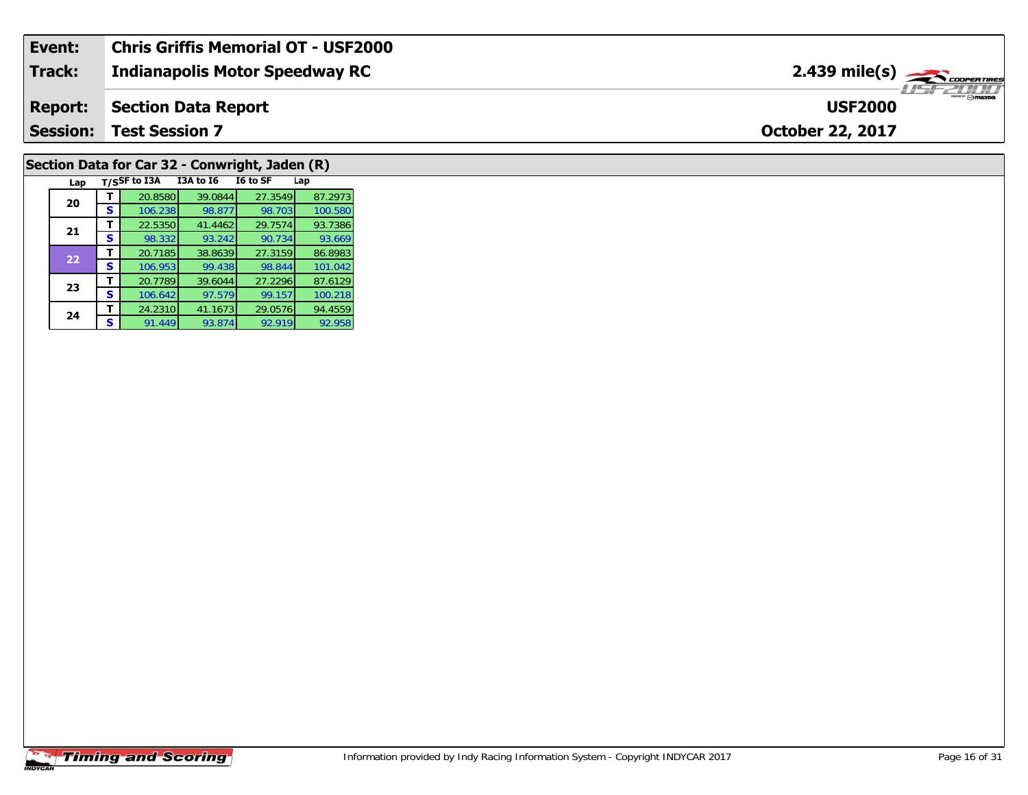| Event:          | <b>Chris Griffis Memorial OT - USF2000</b> |                                           |
|-----------------|--------------------------------------------|-------------------------------------------|
| <b>Track:</b>   | <b>Indianapolis Motor Speedway RC</b>      | $2.439$ mile(s) $\rightarrow$ COOPERTIRES |
| <b>Report:</b>  | Section Data Report                        | <b>USF2000</b>                            |
| <b>Session:</b> | <b>Test Session 7</b>                      | <b>October 22, 2017</b>                   |
|                 |                                            |                                           |

# **Section Data for Car 32 - Conwright, Jaden (R)**

| Lap |   | T/SSF to I3A | I3A to I6 | I6 to SF | Lap     |
|-----|---|--------------|-----------|----------|---------|
| 20  |   | 20.8580      | 39.0844   | 27.3549  | 87.2973 |
|     | S | 106.238      | 98.877    | 98.703   | 100.580 |
| 21  | т | 22.5350      | 41.4462   | 29.7574  | 93.7386 |
|     | S | 98.332       | 93.242    | 90.734   | 93.669  |
| 22  |   | 20.7185      | 38.8639   | 27.3159  | 86.8983 |
|     | S | 106.953      | 99.438    | 98.844   | 101.042 |
| 23  |   | 20.7789      | 39.6044   | 27.2296  | 87.6129 |
|     | s | 106.642      | 97.579    | 99.157   | 100.218 |
| 24  |   | 24.2310      | 41.1673   | 29.0576  | 94.4559 |
|     | S | 91.449       | 93.874    | 92.919   | 92.958  |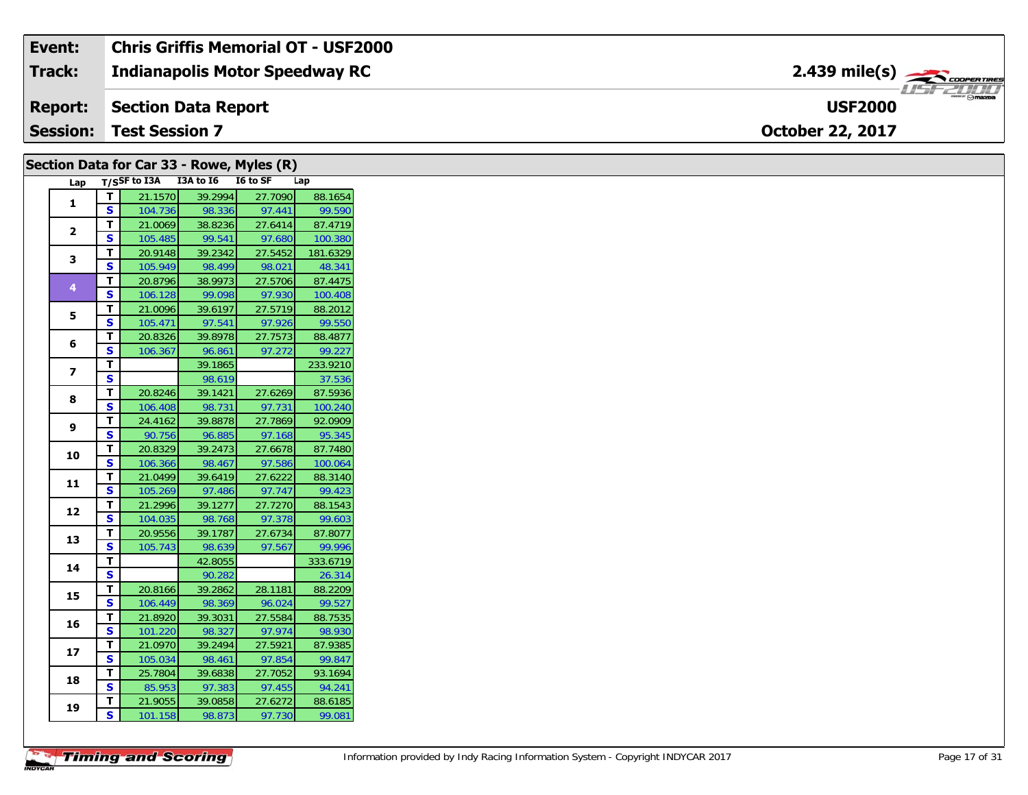| Event:          | <b>Chris Griffis Memorial OT - USF2000</b> |                                           |
|-----------------|--------------------------------------------|-------------------------------------------|
| <b>Track:</b>   | <b>Indianapolis Motor Speedway RC</b>      | $2.439$ mile(s) $\rightarrow$ COOPERTIRES |
| <b>Report:</b>  | Section Data Report                        | $m = \bigcap maxna$<br><b>USF2000</b>     |
| <b>Session:</b> | <b>Test Session 7</b>                      | <b>October 22, 2017</b>                   |

|                         |                         |         |                                     | Section Data for Car 33 - Rowe, Myles (R) |          |
|-------------------------|-------------------------|---------|-------------------------------------|-------------------------------------------|----------|
|                         |                         |         | Lap T/SSF to I3A I3A to I6 I6 to SF |                                           | Lap      |
| $\mathbf{1}$            | $\mathbf{T}$            | 21.1570 | 39.2994                             | 27.7090                                   | 88.1654  |
|                         | S                       | 104.736 | 98.336                              | 97.441                                    | 99.590   |
| $\overline{\mathbf{2}}$ | T                       | 21.0069 | 38.8236                             | 27.6414                                   | 87.4719  |
|                         | S                       | 105.485 | 99.541                              | 97.680                                    | 100.380  |
| 3                       | T.                      | 20.9148 | 39.2342                             | 27.5452                                   | 181.6329 |
|                         | S                       | 105.949 | 98.499                              | 98.021                                    | 48.341   |
| 4                       | $\mathbf{T}$            | 20.8796 | 38.9973                             | 27.5706                                   | 87.4475  |
|                         | S                       | 106.128 | 99.098                              | 97.930                                    | 100.408  |
| 5                       | T.                      | 21.0096 | 39.6197                             | 27.5719                                   | 88.2012  |
|                         | S                       | 105.471 | 97.541                              | 97.926                                    | 99.550   |
| 6                       | T.                      | 20.8326 | 39.8978                             | 27.7573                                   | 88.4877  |
|                         | $\overline{\mathbf{s}}$ | 106.367 | 96.861                              | 97.272                                    | 99.227   |
| $\overline{ }$          | $\mathbf{T}$            |         | 39.1865                             |                                           | 233.9210 |
|                         | S                       |         | 98.619                              |                                           | 37.536   |
| 8                       | T                       | 20.8246 | 39.1421                             | 27.6269                                   | 87.5936  |
|                         | $\mathbf{s}$            | 106.408 | 98.731                              | 97.731                                    | 100.240  |
| 9                       | T.                      | 24.4162 | 39.8878                             | 27.7869                                   | 92.0909  |
|                         | S.                      | 90.756  | 96.885                              | 97.168                                    | 95.345   |
| 10                      | T.                      | 20.8329 | 39.2473                             | 27.6678                                   | 87.7480  |
|                         | S                       | 106.366 | 98.467                              | 97.586                                    | 100.064  |
| 11                      | T.                      | 21.0499 | 39.6419                             | 27.6222                                   | 88.3140  |
|                         | S                       | 105.269 | 97.486                              | 97.747                                    | 99.423   |
| 12                      | T.                      | 21.2996 | 39.1277                             | 27.7270                                   | 88.1543  |
|                         | S                       | 104.035 | 98.768                              | 97.378                                    | 99.603   |
| 13                      | T.                      | 20.9556 | 39.1787                             | 27.6734                                   | 87.8077  |
|                         | $\mathbf{s}$            | 105.743 | 98.639                              | 97.567                                    | 99.996   |
| 14                      | T.                      |         | 42.8055                             |                                           | 333.6719 |
|                         | S                       |         | 90.282                              |                                           | 26.314   |
| 15                      | T                       | 20.8166 | 39.2862                             | 28.1181                                   | 88.2209  |
|                         | S                       | 106.449 | 98.369                              | 96.024                                    | 99.527   |
| 16                      | T.                      | 21.8920 | 39.3031                             | 27.5584                                   | 88.7535  |
|                         | S                       | 101.220 | 98.327                              | 97.974                                    | 98.930   |
| 17                      | $\mathbf{T}$            | 21.0970 | 39.2494                             | 27.5921                                   | 87.9385  |
|                         | S                       | 105.034 | 98.461                              | 97.854                                    | 99.847   |
| 18                      | T.                      | 25.7804 | 39.6838                             | 27.7052                                   | 93.1694  |
|                         | S.                      | 85.953  | 97.383                              | 97.455                                    | 94.241   |
| 19                      | Т.                      | 21.9055 | 39.0858                             | 27.6272                                   | 88.6185  |
|                         | $\overline{\mathbf{s}}$ | 101.158 | 98.873                              | 97.730                                    | 99.081   |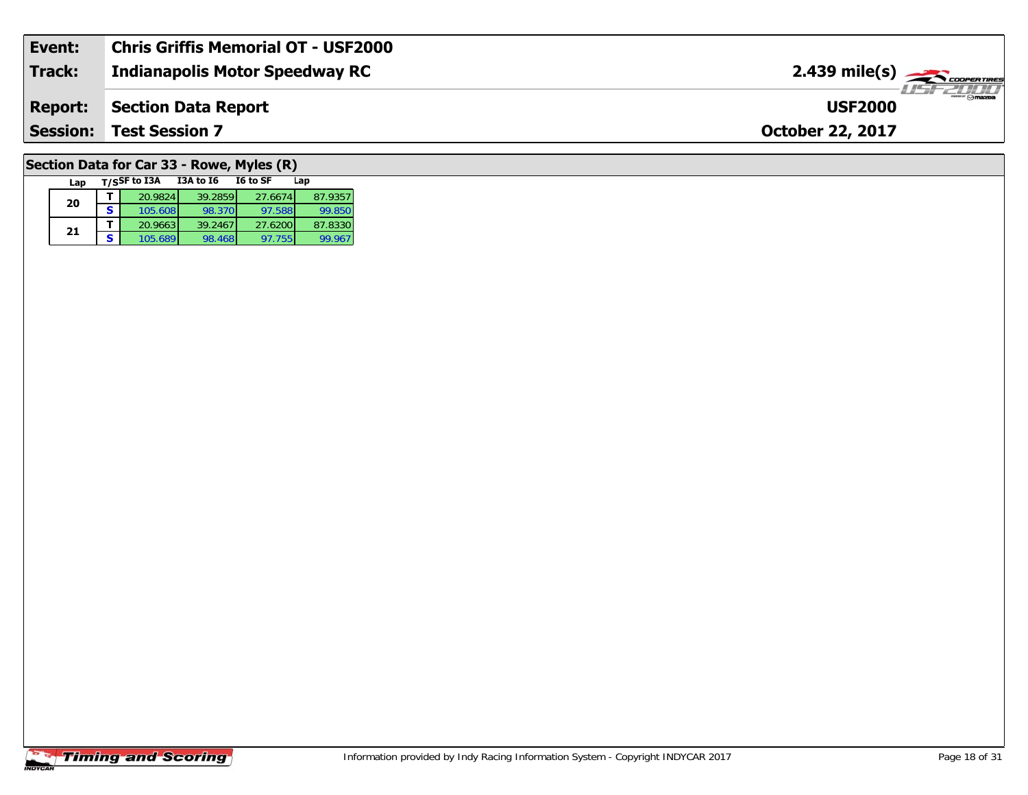| Event:          | Chris Griffis Memorial OT - USF2000   |                                                           |
|-----------------|---------------------------------------|-----------------------------------------------------------|
| <b>Track:</b>   | <b>Indianapolis Motor Speedway RC</b> | $2.439$ mile(s) $\overbrace{\hspace{2.5cm}}$ coorer Times |
| <b>Report:</b>  | Section Data Report                   | <b>USF2000</b>                                            |
| <b>Session:</b> | <b>Test Session 7</b>                 | <b>October 22, 2017</b>                                   |
|                 |                                       |                                                           |

# **Section Data for Car 33 - Rowe, Myles (R)**

|  | Lap |   | T/SSF to I3A | I3A to I6 | I6 to SF | Lap     |
|--|-----|---|--------------|-----------|----------|---------|
|  | 20  |   | 20.9824      | 39.2859   | 27.6674  | 87.9357 |
|  |     | S | 105.608      | 98.370    | 97.588   | 99.850  |
|  | 21  |   | 20.9663      | 39.2467   | 27.6200  | 87.8330 |
|  |     | s | 105.689      | 98.468    | 97.755   | 99.967  |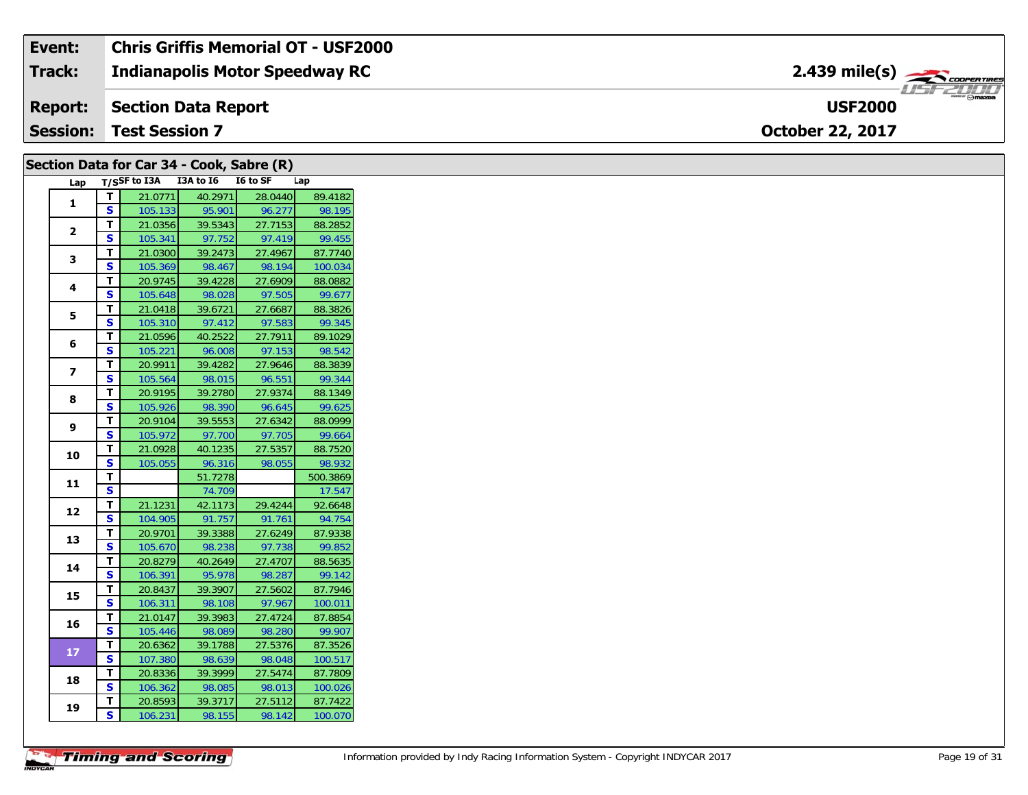| Event:          | <b>Chris Griffis Memorial OT - USF2000</b> |                                        |
|-----------------|--------------------------------------------|----------------------------------------|
| <b>Track:</b>   | <b>Indianapolis Motor Speedway RC</b>      | $2.439$ mile(s) $\rightarrow$          |
|                 | <b>Report:</b> Section Data Report         | <sup>--</sup> ⊙mazoa<br><b>USF2000</b> |
| <b>Session:</b> | <b>Test Session 7</b>                      | <b>October 22, 2017</b>                |

# **Section Data for Car 34 - Cook, Sabre (R)**

| Lap                      |                         | T/SSF to I3A | I3A to I6 | I6 to SF | Lap      |
|--------------------------|-------------------------|--------------|-----------|----------|----------|
| 1                        | т                       | 21.0771      | 40.2971   | 28.0440  | 89.4182  |
|                          | S                       | 105.133      | 95.901    | 96.277   | 98.195   |
| $\overline{2}$           | T.                      | 21.0356      | 39.5343   | 27.7153  | 88.2852  |
|                          | S                       | 105.341      | 97.752    | 97.419   | 99.455   |
| 3                        | T                       | 21.0300      | 39.2473   | 27.4967  | 87.7740  |
|                          | S                       | 105.369      | 98.467    | 98.194   | 100.034  |
| 4                        | T                       | 20.9745      | 39.4228   | 27.6909  | 88.0882  |
|                          | S                       | 105.648      | 98.028    | 97.505   | 99.677   |
| 5                        | т                       | 21.0418      | 39.6721   | 27.6687  | 88.3826  |
|                          | S                       | 105.310      | 97.412    | 97.583   | 99.345   |
| 6                        | T                       | 21.0596      | 40.2522   | 27.7911  | 89.1029  |
|                          | S                       | 105.221      | 96.008    | 97.153   | 98.542   |
| $\overline{\phantom{a}}$ | T.                      | 20.9911      | 39.4282   | 27.9646  | 88.3839  |
|                          | S                       | 105.564      | 98.015    | 96.551   | 99.344   |
| 8                        | T.                      | 20.9195      | 39.2780   | 27.9374  | 88.1349  |
|                          | S                       | 105.926      | 98.390    | 96.645   | 99.625   |
| 9                        | т                       | 20.9104      | 39.5553   | 27.6342  | 88.0999  |
|                          | S.                      | 105.972      | 97.700    | 97.705   | 99.664   |
| 10                       | T.                      | 21.0928      | 40.1235   | 27.5357  | 88.7520  |
|                          | S                       | 105.055      | 96.316    | 98.055   | 98.932   |
| 11                       | T.                      |              | 51.7278   |          | 500.3869 |
|                          | S                       |              | 74.709    |          | 17.547   |
| 12                       | T.                      | 21.1231      | 42.1173   | 29.4244  | 92.6648  |
|                          | S                       | 104.905      | 91.757    | 91.761   | 94.754   |
| 13                       | T.                      | 20.9701      | 39.3388   | 27.6249  | 87.9338  |
|                          | S                       | 105.670      | 98.238    | 97.738   | 99.852   |
| 14                       | т                       | 20.8279      | 40.2649   | 27.4707  | 88.5635  |
|                          | S                       | 106.391      | 95.978    | 98.287   | 99.142   |
| 15                       | T                       | 20.8437      | 39.3907   | 27.5602  | 87.7946  |
|                          | S                       | 106.311      | 98.108    | 97.967   | 100.011  |
| 16                       | T                       | 21.0147      | 39.3983   | 27.4724  | 87.8854  |
|                          | S                       | 105.446      | 98.089    | 98.280   | 99.907   |
| 17                       | T                       | 20.6362      | 39.1788   | 27.5376  | 87.3526  |
|                          | S                       | 107.380      | 98.639    | 98.048   | 100.517  |
| 18                       | т                       | 20.8336      | 39.3999   | 27.5474  | 87.7809  |
|                          | S                       | 106.362      | 98.085    | 98.013   | 100.026  |
| 19                       | T                       | 20.8593      | 39.3717   | 27.5112  | 87.7422  |
|                          | $\overline{\mathsf{s}}$ | 106.231      | 98.155    | 98.142   | 100.070  |

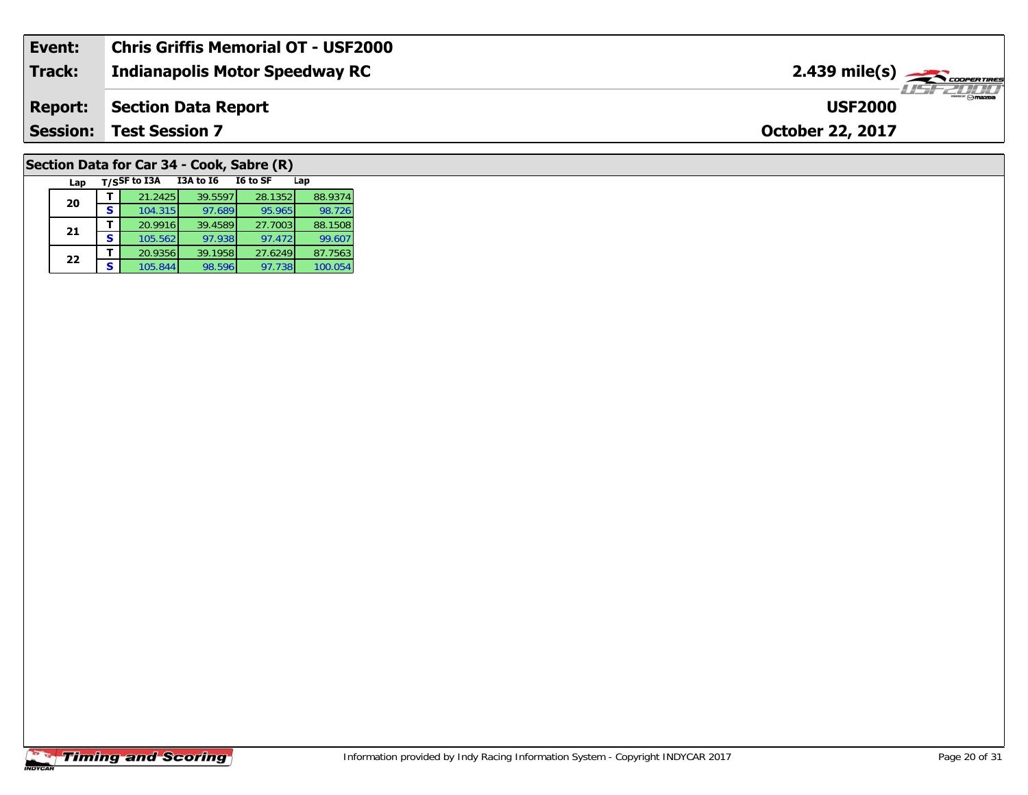| Event:          | <b>Chris Griffis Memorial OT - USF2000</b> |                                           |
|-----------------|--------------------------------------------|-------------------------------------------|
| Track:          | Indianapolis Motor Speedway RC             | $2.439$ mile(s) $\rightarrow$ Coorganized |
| <b>Report:</b>  | Section Data Report                        | $ \theta$ mazoa<br><b>USF2000</b>         |
| <b>Session:</b> | <b>Test Session 7</b>                      | <b>October 22, 2017</b>                   |
|                 |                                            |                                           |

# **Section Data for Car 34 - Cook, Sabre (R)**

| Lap |   | T/SSF to I3A | <b>I3A to 16</b> | I6 to SF | Lap     |
|-----|---|--------------|------------------|----------|---------|
| 20  |   | 21.2425      | 39.5597          | 28.1352  | 88.9374 |
|     | s | 104.315      | 97.689           | 95.965   | 98.726  |
| 21  |   | 20.9916      | 39.4589          | 27.7003  | 88.1508 |
|     | S | 105.562      | 97.938           | 97.472   | 99.607  |
| 22  |   | 20.9356      | 39.1958          | 27.6249  | 87.7563 |
|     | s | 105.844      | 98.596           | 97.738   | 100.054 |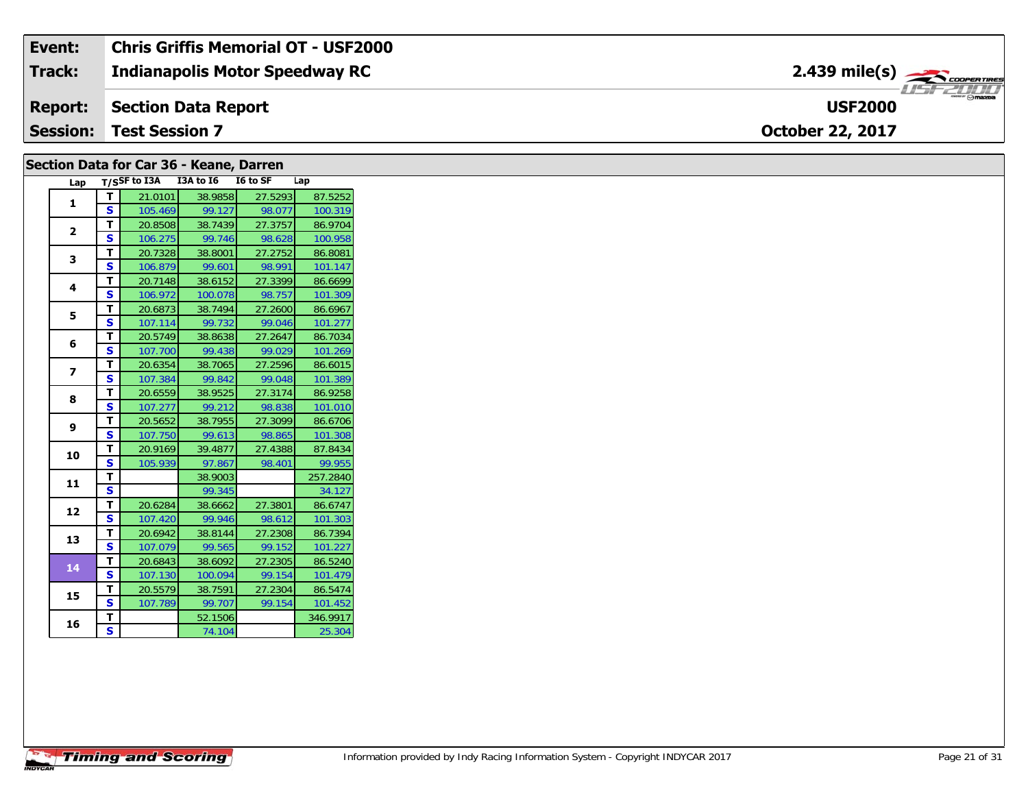| Event:          | <b>Chris Griffis Memorial OT - USF2000</b> |                                                         |
|-----------------|--------------------------------------------|---------------------------------------------------------|
| <b>Track:</b>   | <b>Indianapolis Motor Speedway RC</b>      | $2.439$ mile(s) $\overbrace{\hspace{2cm}}$ cooper times |
| <b>Report:</b>  | Section Data Report                        | <b>USF2000</b>                                          |
| <b>Session:</b> | <b>Test Session 7</b>                      | <b>October 22, 2017</b>                                 |

## **Section Data for Car 36 - Keane, Darren**

| Lap            |    | $T/S$ SF to I3A | I3A to I6 | I6 to SF | Lap      |
|----------------|----|-----------------|-----------|----------|----------|
| 1              | т  | 21.0101         | 38.9858   | 27.5293  | 87.5252  |
|                | S  | 105.469         | 99.127    | 98.077   | 100.319  |
| $\overline{2}$ | T. | 20.8508         | 38.7439   | 27.3757  | 86.9704  |
|                | S  | 106.275         | 99.746    | 98.628   | 100.958  |
| 3              | T. | 20.7328         | 38.8001   | 27.2752  | 86.8081  |
|                | S  | 106.879         | 99.601    | 98.991   | 101.147  |
| 4              | т  | 20.7148         | 38.6152   | 27.3399  | 86.6699  |
|                | S  | 106.972         | 100.078   | 98.757   | 101.309  |
| 5              | т  | 20.6873         | 38.7494   | 27.2600  | 86.6967  |
|                | S  | 107.114         | 99.732    | 99.046   | 101.277  |
| 6              | т  | 20.5749         | 38.8638   | 27.2647  | 86.7034  |
|                | S  | 107.700         | 99.438    | 99.029   | 101.269  |
| 7              | T  | 20.6354         | 38.7065   | 27.2596  | 86.6015  |
|                | S  | 107.384         | 99.842    | 99.048   | 101.389  |
| 8              | т  | 20.6559         | 38.9525   | 27.3174  | 86.9258  |
|                | S  | 107.277         | 99.212    | 98.838   | 101.010  |
| 9              | т  | 20.5652         | 38.7955   | 27.3099  | 86.6706  |
|                | S  | 107.750         | 99.613    | 98.865   | 101.308  |
| 10             | T  | 20.9169         | 39.4877   | 27.4388  | 87.8434  |
|                | S  | 105.939         | 97.867    | 98.401   | 99.955   |
| 11             | т  |                 | 38.9003   |          | 257.2840 |
|                | S  |                 | 99.345    |          | 34.127   |
| 12             | T. | 20.6284         | 38.6662   | 27.3801  | 86.6747  |
|                | S  | 107.420         | 99.946    | 98.612   | 101.303  |
| 13             | T  | 20.6942         | 38.8144   | 27.2308  | 86.7394  |
|                | S  | 107.079         | 99.565    | 99.152   | 101.227  |
| 14             | т  | 20.6843         | 38.6092   | 27.2305  | 86.5240  |
|                | S  | 107.130         | 100.094   | 99.154   | 101.479  |
| 15             | T  | 20.5579         | 38.7591   | 27.2304  | 86.5474  |
|                | S  | 107.789         | 99.707    | 99.154   | 101.452  |
| 16             | T  |                 | 52.1506   |          | 346.9917 |
|                | S. |                 | 74.104    |          | 25.304   |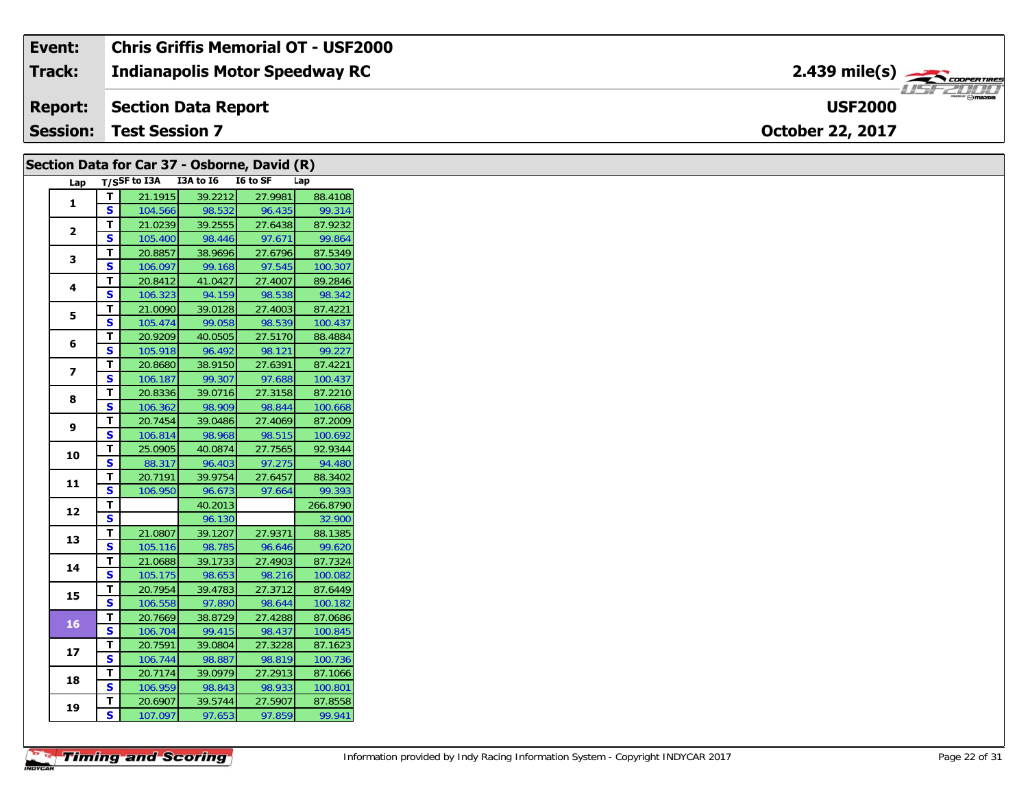#### **Event: Chris Griffis Memorial OT - USF2000** 2.439 mile(s) **2.439 miles Indianapolis Motor Speedway RC Track:** USF 2000 **Report: Section Data Report USF2000Session:October 22, 2017 Test Session 7**

|                 |                         | Section Data for Car 37 - Osborne, David (R) |                   |                   |                    |
|-----------------|-------------------------|----------------------------------------------|-------------------|-------------------|--------------------|
| Lap             |                         | T/SSF to I3A I3A to I6 I6 to SF              |                   |                   | Lap                |
| 1               | T                       | 21.1915                                      | 39.2212           | 27.9981           | 88.4108            |
|                 | S                       | 104.566                                      | 98.532            | 96.435            | 99.314             |
| $\mathbf{2}$    | T                       | 21.0239                                      | 39.2555           | 27.6438           | 87.9232            |
|                 | S                       | 105.400                                      | 98.446            | 97.671            | 99.864             |
| 3               | T.                      | 20.8857                                      | 38.9696           | 27.6796           | 87.5349            |
|                 | S.                      | 106.097                                      | 99.168            | 97.545            | 100.307            |
| 4               | T.                      | 20.8412                                      | 41.0427           | 27.4007           | 89.2846            |
|                 | S                       | 106.323                                      | 94.159            | 98.538            | 98.342             |
| 5               | T                       | 21.0090                                      | 39.0128           | 27.4003           | 87.4221            |
|                 | S                       | 105.474                                      | 99.058            | 98.539            | 100.437            |
| 6               | T.                      | 20.9209                                      | 40.0505           | 27.5170           | 88.4884            |
|                 | S                       | 105.918                                      | 96.492            | 98.121            | 99.227             |
| $\overline{7}$  | T.                      | 20.8680                                      | 38.9150           | 27.6391           | 87.4221            |
|                 | S                       | 106.187                                      | 99.307            | 97.688            | 100.437            |
| 8               | T                       | 20.8336                                      | 39.0716           | 27.3158           | 87.2210            |
|                 | S                       | 106.362                                      | 98.909            | 98.844            | 100.668            |
| 9               | T.                      | 20.7454                                      | 39.0486           | 27.4069           | 87.2009            |
|                 | S                       | 106.814                                      | 98.968            | 98.515            | 100.692            |
| 10              | T                       | 25.0905                                      | 40.0874           | 27.7565           | 92.9344            |
|                 | $\overline{\mathbf{s}}$ | 88.317                                       | 96.403            | 97.275            | 94.480             |
| 11              | T                       | 20.7191                                      | 39.9754           | 27.6457           | 88.3402            |
|                 | S                       | 106.950                                      | 96.673            | 97.664            | 99.393             |
| 12              | T.                      |                                              | 40.2013           |                   | 266.8790           |
|                 | $\overline{\mathbf{s}}$ |                                              | 96.130            |                   | 32.900             |
| 13              | T.                      | 21.0807                                      | 39.1207           | 27.9371           | 88.1385            |
|                 | S<br>T.                 | 105.116                                      | 98.785            | 96.646<br>27.4903 | 99.620             |
| 14              | S                       | 21.0688                                      | 39.1733           | 98.216            | 87.7324<br>100.082 |
|                 | T                       | 105.175<br>20.7954                           | 98.653<br>39.4783 | 27.3712           | 87.6449            |
| 15              | S.                      |                                              |                   |                   |                    |
|                 |                         | 106.558                                      | 97.890            | 98.644            | 100.182            |
| 16 <sub>1</sub> | T<br>S                  | 20.7669                                      | 38.8729<br>99.415 | 27.4288<br>98.437 | 87.0686            |
|                 | T                       | 106.704<br>20.7591                           | 39.0804           | 27.3228           | 100.845<br>87.1623 |
| 17              | S                       | 106.744                                      | 98.887            | 98.819            | 100.736            |
|                 | T                       | 20.7174                                      | 39.0979           | 27.2913           | 87.1066            |
| 18              | S.                      | 106.959                                      | 98.843            | 98.933            | 100.801            |
|                 | T                       | 20.6907                                      | 39.5744           | 27.5907           | 87.8558            |
| 19              | S                       | 107.097                                      | 97.653            | 97.859            | 99.941             |
|                 |                         |                                              |                   |                   |                    |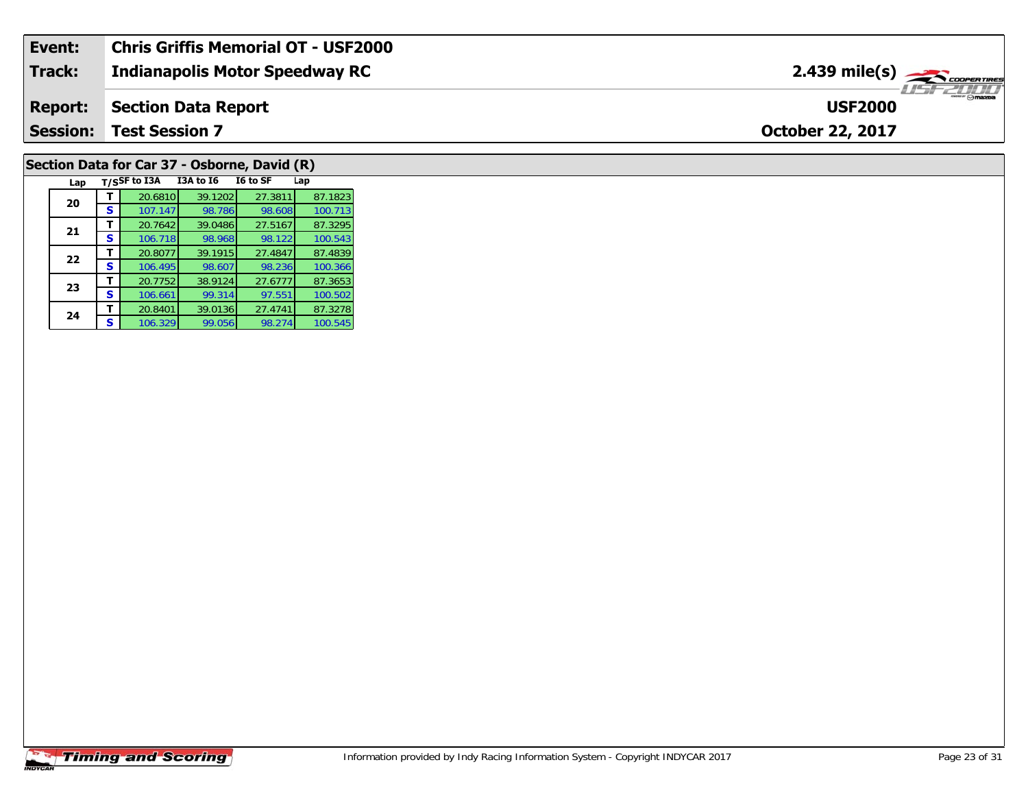| Event:          | Chris Griffis Memorial OT - USF2000   |                                           |
|-----------------|---------------------------------------|-------------------------------------------|
| <b>Track:</b>   | <b>Indianapolis Motor Speedway RC</b> | $2.439$ mile(s) $\rightarrow$ coorganises |
| <b>Report:</b>  | Section Data Report                   | $-m$ $\odot$ mazpa<br><b>USF2000</b>      |
| <b>Session:</b> | <b>Test Session 7</b>                 | <b>October 22, 2017</b>                   |
|                 |                                       |                                           |

# **Section Data for Car 37 - Osborne, David (R)**

| Lap |   | T/SSF to I3A | I3A to I6 | I6 to SF | Lap     |
|-----|---|--------------|-----------|----------|---------|
| 20  |   | 20.6810      | 39.1202   | 27.3811  | 87.1823 |
|     | S | 107.147      | 98.786    | 98.608   | 100.713 |
| 21  |   | 20.7642      | 39.0486   | 27.5167  | 87.3295 |
|     | s | 106.718      | 98.968    | 98.122   | 100.543 |
| 22  |   | 20.8077      | 39.1915   | 27.4847  | 87.4839 |
|     | S | 106.495      | 98.607    | 98.236   | 100.366 |
| 23  |   | 20.7752      | 38.9124   | 27.6777  | 87.3653 |
|     | s | 106.661      | 99.314    | 97.551   | 100.502 |
| 24  |   | 20.8401      | 39.0136   | 27.4741  | 87.3278 |
|     | s | 106.329      | 99.056    | 98.274   | 100.545 |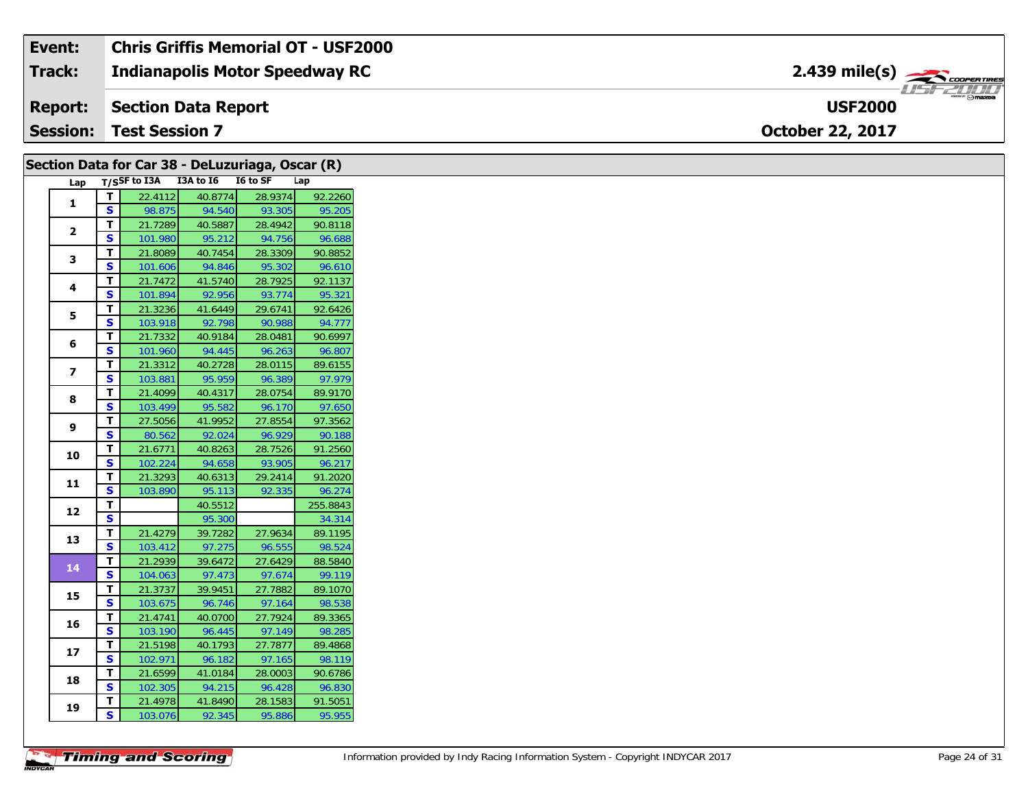| Event:          | <b>Chris Griffis Memorial OT - USF2000</b> |                                            |
|-----------------|--------------------------------------------|--------------------------------------------|
| Track:          | <b>Indianapolis Motor Speedway RC</b>      | $2.439$ mile(s) $\rightarrow$ COOPER TIRES |
| <b>Report:</b>  | Section Data Report                        | $v$ mazoa<br><b>USF2000</b>                |
| <b>Session:</b> | <b>Test Session 7</b>                      | <b>October 22, 2017</b>                    |

|                         |                         | Section Data for Car 38 - DeLuzuriaga, Oscar (R) |         |         |          |
|-------------------------|-------------------------|--------------------------------------------------|---------|---------|----------|
|                         |                         | Lap T/SSF to I3A I3A to I6 I6 to SF              |         |         | Lap      |
| $\mathbf{1}$            | $\mathbf{T}$            | 22.4112                                          | 40.8774 | 28.9374 | 92.2260  |
|                         | S                       | 98.875                                           | 94.540  | 93.305  | 95.205   |
| $\mathbf{2}$            | T.                      | 21.7289                                          | 40.5887 | 28.4942 | 90.8118  |
|                         | S.                      | 101.980                                          | 95.212  | 94.756  | 96.688   |
| 3                       | Т                       | 21.8089                                          | 40.7454 | 28.3309 | 90.8852  |
|                         | $\mathbf{s}$            | 101.606                                          | 94.846  | 95.302  | 96.610   |
| 4                       | T.                      | 21.7472                                          | 41.5740 | 28.7925 | 92.1137  |
|                         | S                       | 101.894                                          | 92.956  | 93.774  | 95.321   |
| 5                       | T                       | 21.3236                                          | 41.6449 | 29.6741 | 92.6426  |
|                         | S                       | 103.918                                          | 92.798  | 90.988  | 94.777   |
| 6                       | T.                      | 21.7332                                          | 40.9184 | 28.0481 | 90.6997  |
|                         | S                       | 101.960                                          | 94.445  | 96.263  | 96.807   |
| $\overline{\mathbf{z}}$ | T                       | 21.3312                                          | 40.2728 | 28.0115 | 89.6155  |
|                         | S.                      | 103.881                                          | 95.959  | 96.389  | 97.979   |
| 8                       | T                       | 21.4099                                          | 40.4317 | 28.0754 | 89.9170  |
|                         | $\mathbf{s}$            | 103.499                                          | 95.582  | 96.170  | 97.650   |
| 9                       | T.                      | 27.5056                                          | 41.9952 | 27.8554 | 97.3562  |
|                         | S                       | 80.562                                           | 92.024  | 96.929  | 90.188   |
| 10                      | T                       | 21.6771                                          | 40.8263 | 28.7526 | 91.2560  |
|                         | S                       | 102.224                                          | 94.658  | 93.905  | 96.217   |
| 11                      | $\mathbf{T}$            | 21.3293                                          | 40.6313 | 29.2414 | 91.2020  |
|                         | S                       | 103.890                                          | 95.113  | 92.335  | 96.274   |
| 12                      | T.                      |                                                  | 40.5512 |         | 255.8843 |
|                         | $\overline{\mathbf{s}}$ |                                                  | 95.300  |         | 34.314   |
| 13                      | T                       | 21.4279                                          | 39.7282 | 27.9634 | 89.1195  |
|                         | $\mathbf{s}$            | 103.412                                          | 97.275  | 96.555  | 98.524   |
| 14                      | $\mathbf T$             | 21.2939                                          | 39.6472 | 27.6429 | 88.5840  |
|                         | S                       | 104.063                                          | 97.473  | 97.674  | 99.119   |
| 15                      | T                       | 21.3737                                          | 39.9451 | 27.7882 | 89.1070  |
|                         | S                       | 103.675                                          | 96.746  | 97.164  | 98.538   |
| 16                      | T.                      | 21.4741                                          | 40.0700 | 27.7924 | 89.3365  |
|                         | $\mathbf{s}$            | 103.190                                          | 96.445  | 97.149  | 98.285   |
| 17                      | T.                      | 21.5198                                          | 40.1793 | 27.7877 | 89.4868  |
|                         | <b>S</b>                | 102.971                                          | 96.182  | 97.165  | 98.119   |
| 18                      | T.                      | 21.6599                                          | 41.0184 | 28.0003 | 90.6786  |
|                         | S                       | 102.305                                          | 94.215  | 96.428  | 96.830   |
| 19                      | T.                      | 21.4978                                          | 41.8490 | 28.1583 | 91.5051  |
|                         | <b>S</b>                | 103.076                                          | 92.345  | 95.886  | 95.955   |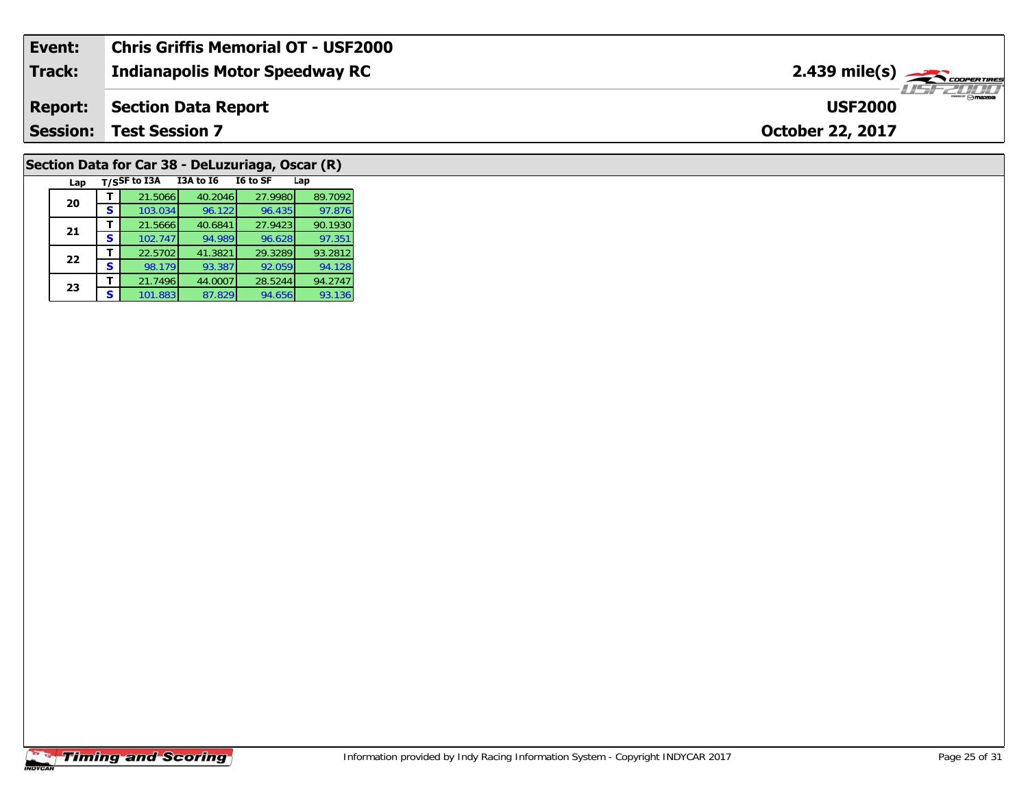| Event:          | <b>Chris Griffis Memorial OT - USF2000</b> |                                           |
|-----------------|--------------------------------------------|-------------------------------------------|
| Track:          | <b>Indianapolis Motor Speedway RC</b>      | $2.439$ mile(s) $\rightarrow$ COOPERTIRES |
| <b>Report:</b>  | Section Data Report                        | <b>USF2000</b>                            |
| <b>Session:</b> | <b>Test Session 7</b>                      | <b>October 22, 2017</b>                   |
|                 |                                            |                                           |

# **Section Data for Car 38 - DeLuzuriaga, Oscar (R)**

| Lap |   | T/SSF to I3A | <b>I3A to 16</b> | I6 to SF | Lap     |
|-----|---|--------------|------------------|----------|---------|
| 20  |   | 21.5066      | 40.2046          | 27.9980  | 89.7092 |
|     | S | 103.034      | 96.122           | 96.435   | 97.876  |
| 21  |   | 21.5666      | 40.6841          | 27.9423  | 90.1930 |
|     | S | 102.747      | 94.989           | 96.628   | 97.351  |
| 22  |   | 22.5702      | 41.3821          | 29.3289  | 93.2812 |
|     | S | 98.179       | 93.387           | 92.059   | 94.128  |
| 23  |   | 21.7496      | 44.0007          | 28.5244  | 94.2747 |
|     | S | 101.883      | 87.829           | 94.656   | 93.136  |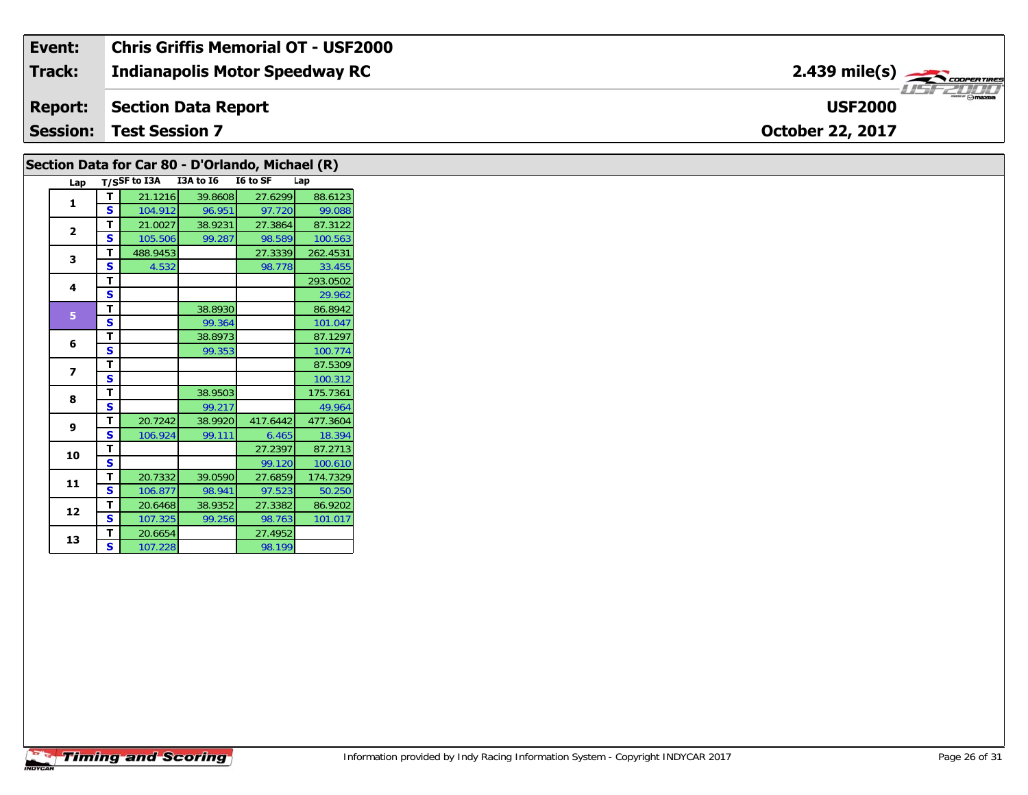| Event:          | Chris Griffis Memorial OT - USF2000   |                                                          |
|-----------------|---------------------------------------|----------------------------------------------------------|
| <b>Track:</b>   | <b>Indianapolis Motor Speedway RC</b> | $2.439$ mile(s) $\rightarrow$ Coorer Times               |
| <b>Report:</b>  | Section Data Report                   | $\overline{\phantom{m}}$ $\odot$ mazpa<br><b>USF2000</b> |
| <b>Session:</b> | <b>Test Session 7</b>                 | <b>October 22, 2017</b>                                  |

|                          |                         |          | Lap T/SSF to I3A I3A to I6 I6 to SF |          | Lap      |
|--------------------------|-------------------------|----------|-------------------------------------|----------|----------|
| 1                        | T                       | 21.1216  | 39.8608                             | 27.6299  | 88.6123  |
|                          | <b>S</b>                | 104.912  | 96.951                              | 97.720   | 99.088   |
| $\overline{\mathbf{2}}$  | T.                      | 21.0027  | 38.9231                             | 27.3864  | 87.3122  |
|                          | $\mathbf{s}$            | 105.506  | 99.287                              | 98.589   | 100.563  |
| 3                        | T.                      | 488.9453 |                                     | 27.3339  | 262.4531 |
|                          | <b>S</b>                | 4.532    |                                     | 98.778   | 33.455   |
| 4                        | T                       |          |                                     |          | 293.0502 |
|                          | S                       |          |                                     |          | 29.962   |
| 5 <sup>1</sup>           | T                       |          | 38.8930                             |          | 86.8942  |
|                          | $\overline{\mathbf{s}}$ |          | 99.364                              |          | 101.047  |
| 6                        | T                       |          | 38.8973                             |          | 87.1297  |
|                          | $\overline{\mathbf{s}}$ |          | 99.353                              |          | 100.774  |
| $\overline{\phantom{a}}$ | T.                      |          |                                     |          | 87.5309  |
|                          | S                       |          |                                     |          | 100.312  |
|                          | T.                      |          | 38.9503                             |          | 175.7361 |
| 8                        | $\mathbf{s}$            |          | 99.217                              |          | 49.964   |
|                          | T.                      | 20.7242  | 38.9920                             | 417.6442 | 477.3604 |
| 9                        | $\mathbf{s}$            | 106.924  | 99.111                              | 6.465    | 18.394   |
| 10                       | T                       |          |                                     | 27.2397  | 87.2713  |
|                          | $\overline{\mathbf{s}}$ |          |                                     | 99.120   | 100.610  |
|                          | T.                      | 20.7332  | 39.0590                             | 27.6859  | 174.7329 |
| 11                       | S                       | 106.877  | 98.941                              | 97.523   | 50.250   |
|                          | T.                      | 20.6468  | 38.9352                             | 27.3382  | 86.9202  |
| 12                       | $\mathbf{s}$            | 107.325  | 99.256                              | 98.763   | 101.017  |
|                          | T.                      | 20.6654  |                                     | 27.4952  |          |
| 13                       | S                       | 107.228  |                                     | 98.199   |          |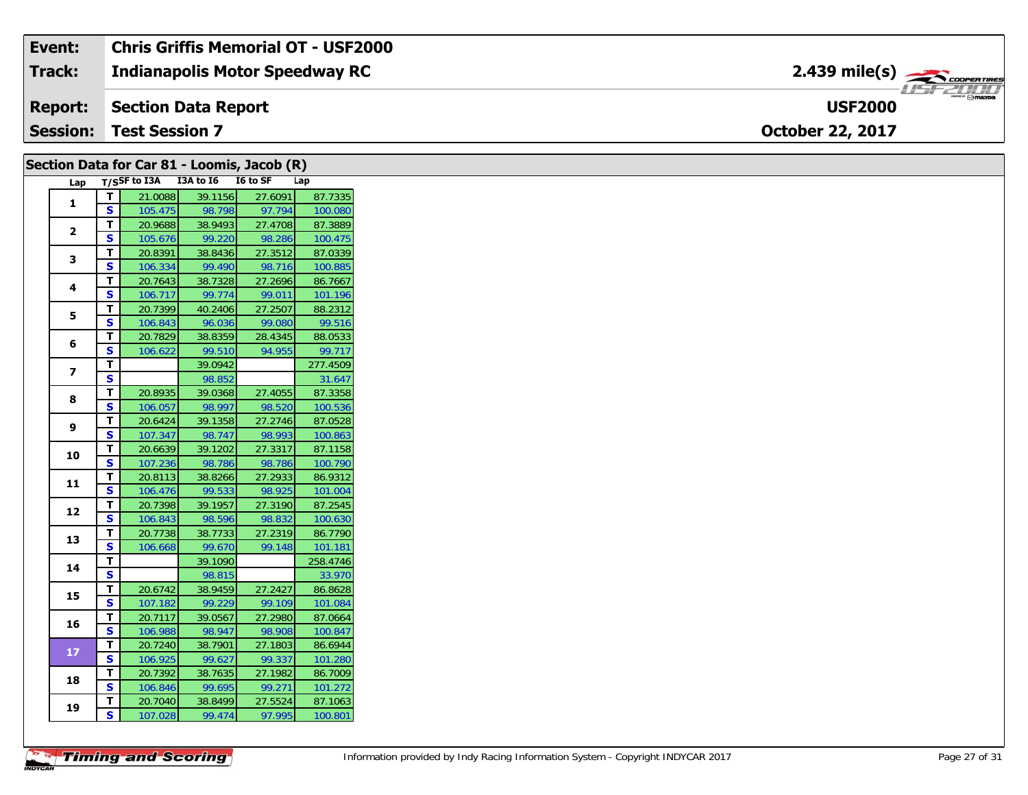### **Event: Chris Griffis Memorial OT - USF2000** 2.439 mile(s) **2.439 miles Indianapolis Motor Speedway RC Track:** USF 2000 **USF2000Report: Section Data Report Session:October 22, 2017 Test Session 7**

|                         |                         | Section Data for Car 81 - Loomis, Jacob (R) |                   |                   |                    |
|-------------------------|-------------------------|---------------------------------------------|-------------------|-------------------|--------------------|
|                         |                         | Lap T/SSF to I3A I3A to I6 I6 to SF         |                   |                   | Lap                |
| $\mathbf{1}$            | т                       | 21.0088                                     | 39.1156           | 27.6091           | 87.7335            |
|                         | S                       | 105.475                                     | 98.798            | 97.794            | 100.080            |
| $\mathbf{2}$            | T                       | 20.9688                                     | 38.9493           | 27.4708           | 87.3889            |
|                         | S                       | 105.676                                     | 99.220            | 98.286            | 100.475            |
| 3                       | Т                       | 20.8391                                     | 38.8436           | 27.3512           | 87.0339            |
|                         | S                       | 106.334                                     | 99.490            | 98.716            | 100.885            |
| 4                       | T                       | 20.7643                                     | 38.7328           | 27.2696           | 86.7667            |
|                         | <b>S</b>                | 106.717                                     | 99.774            | 99.011            | 101.196            |
| 5                       | T                       | 20.7399                                     | 40.2406           | 27.2507           | 88.2312            |
|                         | S                       | 106.843                                     | 96.036            | 99.080            | 99.516             |
| 6                       | T                       | 20.7829                                     | 38.8359           | 28.4345           | 88.0533            |
|                         | S                       | 106.622                                     | 99.510            | 94.955            | 99.717             |
| $\overline{\mathbf{z}}$ | Т                       |                                             | 39.0942           |                   | 277.4509           |
|                         | $\overline{\mathbf{s}}$ |                                             | 98.852            |                   | 31.647             |
| 8                       | $\mathbf T$             | 20.8935                                     | 39.0368           | 27.4055           | 87.3358            |
|                         | $\mathbf{s}$            | 106.057                                     | 98.997            | 98.520            | 100.536            |
| 9                       | T                       | 20.6424                                     | 39.1358           | 27.2746           | 87.0528            |
|                         | S                       | 107.347                                     | 98.747            | 98.993            | 100.863            |
| 10                      | T                       | 20.6639                                     | 39.1202           | 27.3317           | 87.1158            |
|                         | $\overline{\mathbf{s}}$ | 107.236                                     | 98.786            | 98.786            | 100.790            |
| 11                      | T                       | 20.8113                                     | 38.8266           | 27.2933           | 86.9312            |
|                         | S                       | 106.476                                     | 99.533            | 98.925            | 101.004            |
| 12                      | Т                       | 20.7398                                     | 39.1957           | 27.3190           | 87.2545            |
|                         | S                       | 106.843                                     | 98.596            | 98.832            | 100.630            |
| 13                      | т                       | 20.7738                                     | 38.7733           | 27.2319           | 86.7790            |
|                         | S                       | 106.668                                     | 99.670            | 99.148            | 101.181            |
| 14                      | T<br>S                  |                                             | 39.1090           |                   | 258.4746           |
|                         |                         |                                             | 98.815            |                   | 33.970             |
| 15                      | T<br>$\mathbf{s}$       | 20.6742                                     | 38.9459           | 27.2427           | 86.8628            |
|                         |                         | 107.182                                     | 99.229            | 99.109            | 101.084            |
| 16                      | Т<br>S                  | 20.7117                                     | 39.0567<br>98.947 | 27.2980<br>98.908 | 87.0664            |
|                         | T.                      | 106.988<br>20.7240                          | 38.7901           | 27.1803           | 100.847<br>86.6944 |
| $17$                    | S                       |                                             |                   | 99.337            |                    |
|                         | T                       | 106.925<br>20.7392                          | 99.627<br>38.7635 | 27.1982           | 101.280<br>86.7009 |
| 18                      | <b>S</b>                | 106.846                                     | 99.695            | 99.271            | 101.272            |
|                         | т                       | 20.7040                                     | 38.8499           | 27.5524           | 87.1063            |
| 19                      | S                       | 107.028                                     | 99.474            | 97.995            | 100.801            |
|                         |                         |                                             |                   |                   |                    |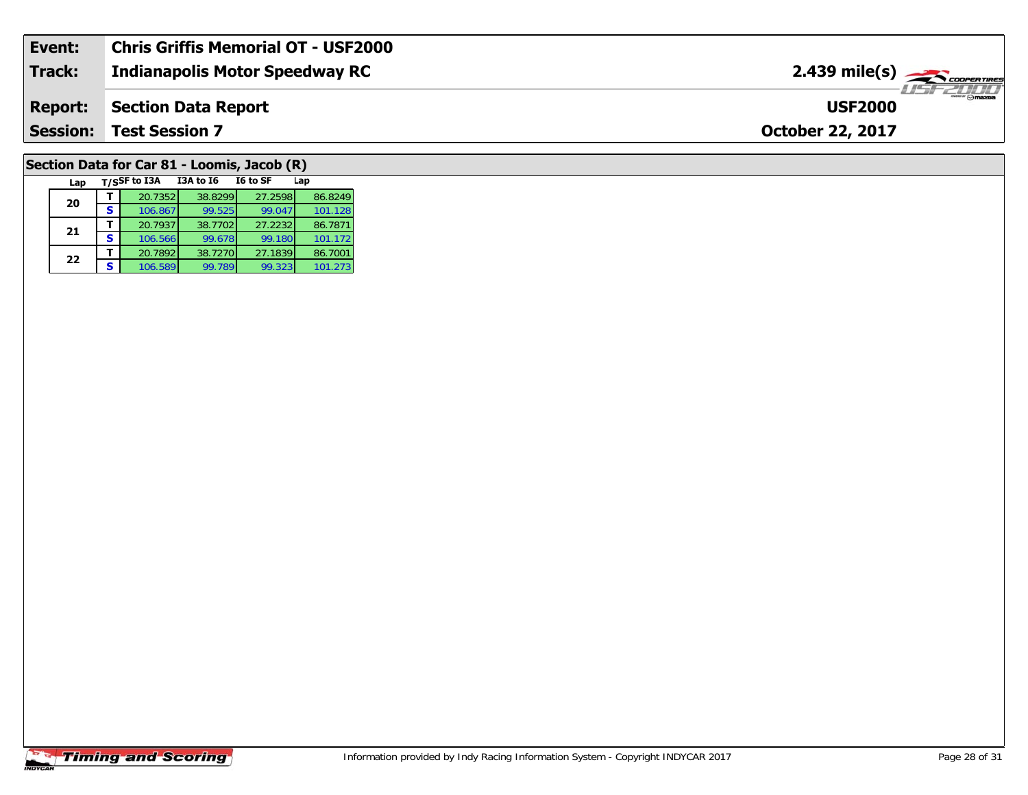| Event:         | <b>Chris Griffis Memorial OT - USF2000</b> |                                                         |
|----------------|--------------------------------------------|---------------------------------------------------------|
| Track:         | <b>Indianapolis Motor Speedway RC</b>      | $2.439$ mile(s) $\overbrace{\hspace{2cm}}$ coorer Times |
| <b>Report:</b> | Section Data Report                        | <b>Omazoa</b><br><b>USF2000</b>                         |
|                | <b>Session: Test Session 7</b>             | <b>October 22, 2017</b>                                 |
|                |                                            |                                                         |

# **Section Data for Car 81 - Loomis, Jacob (R)**

| Lap |   | T/SSF to I3A | <b>I3A to 16</b> | I6 to SF | Lap     |
|-----|---|--------------|------------------|----------|---------|
| 20  |   | 20.7352      | 38.8299          | 27.2598  | 86.8249 |
|     |   | 106.867      | 99.525           | 99.047   | 101.128 |
| 21  |   | 20.7937      | 38.7702          | 27.2232  | 86.7871 |
|     | s | 106.566      | 99.678           | 99.180   | 101.172 |
| 22  |   | 20.7892      | 38.7270          | 27.1839  | 86.7001 |
|     |   | 106.589      | 99.789           | 99.323   | 101.273 |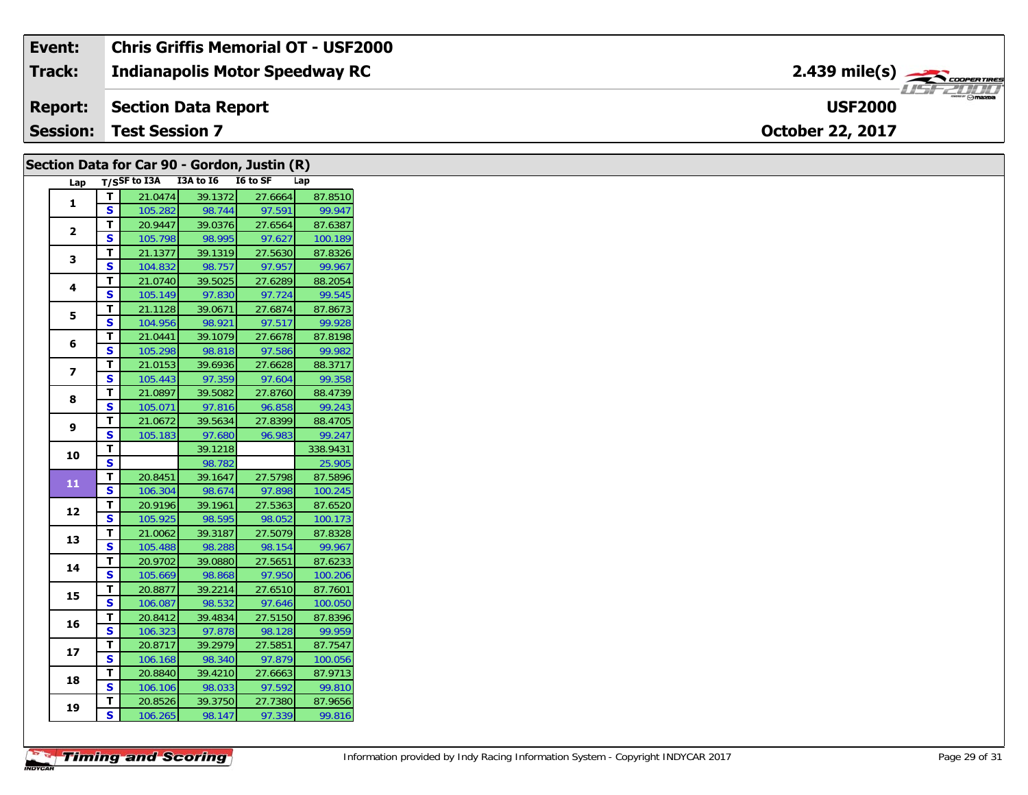### **Event: Chris Griffis Memorial OT - USF2000** 2.439 mile(s) **2.439 miles Indianapolis Motor Speedway RC Track:** USF 2000 **USF2000Report: Section Data Report Session:October 22, 2017 Test Session 7**

|                |                         |                                 |                   | Section Data for Car 90 - Gordon, Justin (R) |                                                     |
|----------------|-------------------------|---------------------------------|-------------------|----------------------------------------------|-----------------------------------------------------|
| Lap            |                         | T/SSF to I3A I3A to I6 I6 to SF |                   |                                              | Lap                                                 |
| 1              | T                       | 21.0474                         | 39.1372           | 27.6664                                      | 87.8510                                             |
|                | S.                      | 105.282                         | 98.744            | 97.591                                       | 99.947                                              |
| $\mathbf{2}$   | $\mathbf T$             | 20.9447                         | 39.0376           | 27.6564                                      | 87.6387                                             |
|                | $\overline{\mathbf{s}}$ | 105.798                         | 98.995            | 97.627                                       | 100.189                                             |
| 3              | T                       | 21.1377                         | 39.1319           | 27.5630                                      | 87.8326                                             |
|                | S                       | 104.832                         | 98.757            | 97.957                                       | 99.967                                              |
| 4              | T                       | 21.0740                         | 39.5025           | 27.6289                                      | 88.2054                                             |
|                | S                       | 105.149                         | 97.830            | 97.724                                       | 99.545                                              |
| 5              | $\mathbf T$             | 21.1128                         | 39.0671           | 27.6874                                      | 87.8673                                             |
|                | $\mathbf{s}$            | 104.956                         | 98.921            | 97.517                                       | 99.928                                              |
| 6              | $\mathbf T$             | 21.0441                         | 39.1079           | 27.6678                                      | 87.8198                                             |
|                | S                       | 105.298                         | 98.818            | 97.586                                       | 99.982                                              |
| $\overline{ }$ | T                       | 21.0153                         | 39.6936           | 27.6628                                      | 88.3717                                             |
|                | S                       | 105.443                         | 97.359            | 97.604                                       | 99.358                                              |
| 8              | T<br>$\mathbf{s}$       | 21.0897                         | 39.5082           | 27.8760                                      | 88.4739<br>99.243                                   |
|                | T                       | 105.071                         | 97.816            | 96.858                                       |                                                     |
| 9              | S                       | 21.0672<br>105.183              | 39.5634<br>97.680 | 27.8399<br>96.983                            | 88.4705<br>99.247                                   |
|                | T                       |                                 | 39.1218           |                                              | 338.9431                                            |
| 10             | $\overline{\mathbf{s}}$ |                                 | 98.782            |                                              | 25.905                                              |
|                | T                       | 20.8451                         | 39.1647           | 27.5798                                      | 87.5896                                             |
| 11             | S                       | 106.304                         | 98.674            | 97.898                                       | 100.245                                             |
|                | $\mathbf T$             | 20.9196                         | 39.1961           | 27.5363                                      | 87.6520                                             |
| 12             | <b>S</b>                | 105.925                         |                   |                                              |                                                     |
|                |                         |                                 |                   |                                              |                                                     |
|                |                         |                                 | 98.595            | 98.052                                       | 100.173                                             |
| 13             | T                       | 21.0062                         | 39.3187           | 27.5079                                      |                                                     |
|                | S                       | 105.488                         | 98.288            | 98.154                                       | 99.967                                              |
| 14             | T                       | 20.9702                         | 39.0880           | 27.5651                                      | 87.6233                                             |
|                | $\mathbf{s}$            | 105.669                         | 98.868            | 97.950                                       |                                                     |
| 15             | T                       | 20.8877                         | 39.2214           | 27.6510                                      | 87.7601                                             |
|                | S<br>T                  | 106.087                         | 98.532            | 97.646                                       |                                                     |
| 16             | S                       | 20.8412<br>106.323              | 39.4834<br>97.878 | 27.5150<br>98.128                            | 99.959                                              |
|                | T                       | 20.8717                         | 39.2979           | 27.5851                                      | 87.8328<br>100.206<br>100.050<br>87.8396<br>87.7547 |
| 17             | $\mathbf{s}$            | 106.168                         | 98.340            | 97.879                                       | 100.056                                             |
|                | T                       | 20.8840                         | 39.4210           | 27.6663                                      | 87.9713                                             |
| 18             | <b>S</b>                | 106.106                         | 98.033            | 97.592                                       | 99.810                                              |
| 19             | Т                       | 20.8526                         | 39.3750<br>98.147 | 27.7380<br>97.339                            | 87.9656<br>99.816                                   |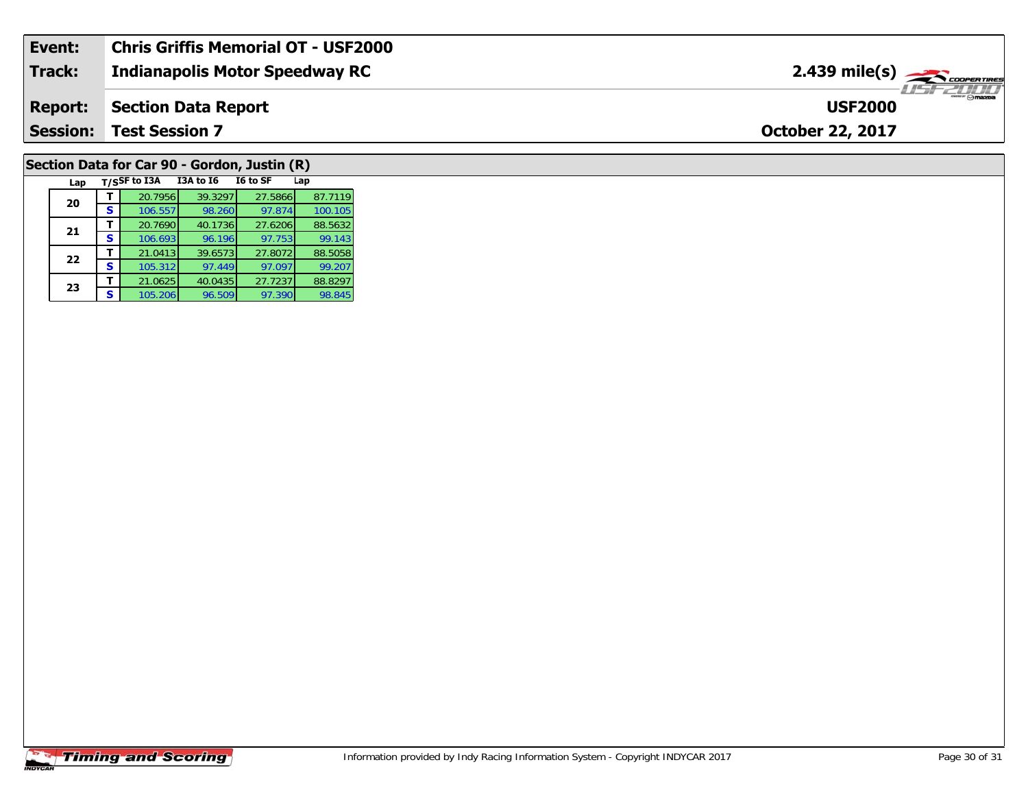| Event:          | <b>Chris Griffis Memorial OT - USF2000</b> |                                               |
|-----------------|--------------------------------------------|-----------------------------------------------|
| Track:          | <b>Indianapolis Motor Speedway RC</b>      | $2.439$ mile(s) $\frac{1}{2.48}$ coorer Tires |
| <b>Report:</b>  | Section Data Report                        | <b>USF2000</b>                                |
| <b>Session:</b> | <b>Test Session 7</b>                      | <b>October 22, 2017</b>                       |
|                 |                                            |                                               |

# **Section Data for Car 90 - Gordon, Justin (R)**

| Lap |   | T/SSF to I3A | I3A to I6 | I6 to SF | Lap     |
|-----|---|--------------|-----------|----------|---------|
| 20  |   | 20.7956      | 39.3297   | 27.5866  | 87.7119 |
|     | s | 106.557      | 98.260    | 97.874   | 100.105 |
| 21  |   | 20.7690      | 40.1736   | 27.6206  | 88.5632 |
|     | s | 106.693      | 96.196    | 97.753   | 99.143  |
| 22  |   | 21.0413      | 39.6573   | 27.8072  | 88.5058 |
|     | s | 105.312      | 97.449    | 97.097   | 99.207  |
| 23  |   | 21.0625      | 40.0435   | 27.7237  | 88.8297 |
|     | S | 105.206      | 96.509    | 97.390   | 98.845  |